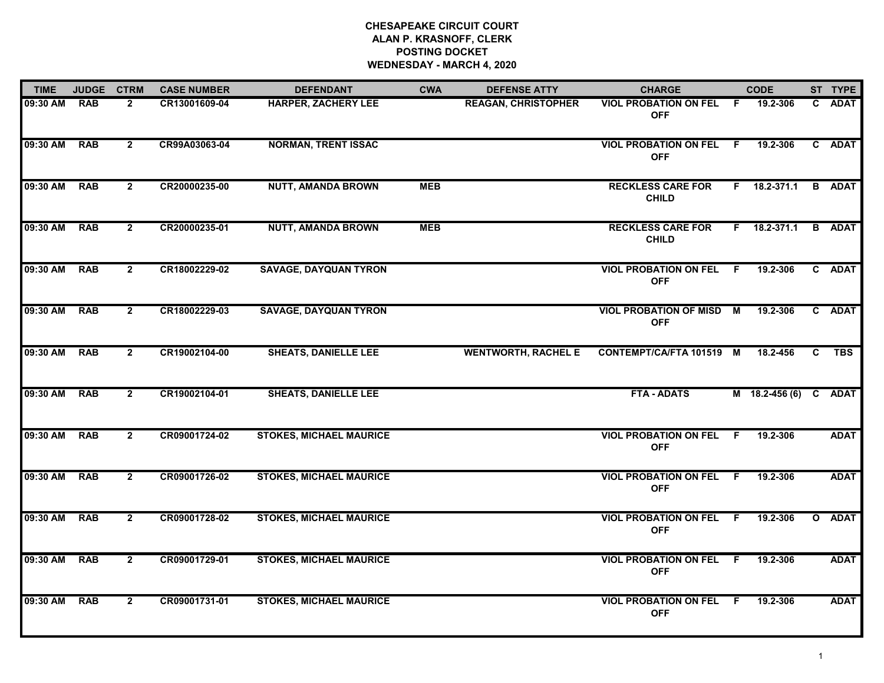| <b>TIME</b> | <b>JUDGE</b> | <b>CTRM</b>    | <b>CASE NUMBER</b> | <b>DEFENDANT</b>               | <b>CWA</b> | <b>DEFENSE ATTY</b>        | <b>CHARGE</b>                                 |     | <b>CODE</b>           |    | ST TYPE       |
|-------------|--------------|----------------|--------------------|--------------------------------|------------|----------------------------|-----------------------------------------------|-----|-----------------------|----|---------------|
| 09:30 AM    | <b>RAB</b>   | $\mathbf{2}$   | CR13001609-04      | <b>HARPER, ZACHERY LEE</b>     |            | <b>REAGAN, CHRISTOPHER</b> | <b>VIOL PROBATION ON FEL</b><br><b>OFF</b>    | - F | 19.2-306              | C. | <b>ADAT</b>   |
| 09:30 AM    | <b>RAB</b>   | $\mathbf{2}$   | CR99A03063-04      | <b>NORMAN, TRENT ISSAC</b>     |            |                            | VIOL PROBATION ON FEL F<br><b>OFF</b>         |     | 19.2-306              |    | C ADAT        |
| 09:30 AM    | <b>RAB</b>   | $\mathbf{2}$   | CR20000235-00      | <b>NUTT, AMANDA BROWN</b>      | <b>MEB</b> |                            | <b>RECKLESS CARE FOR</b><br><b>CHILD</b>      |     | F 18.2-371.1          |    | <b>B</b> ADAT |
| 09:30 AM    | <b>RAB</b>   | $\mathbf{2}$   | CR20000235-01      | <b>NUTT, AMANDA BROWN</b>      | <b>MEB</b> |                            | <b>RECKLESS CARE FOR</b><br><b>CHILD</b>      |     | F 18.2-371.1          |    | <b>B</b> ADAT |
| 09:30 AM    | <b>RAB</b>   | $\mathbf{2}$   | CR18002229-02      | <b>SAVAGE, DAYQUAN TYRON</b>   |            |                            | <b>VIOL PROBATION ON FEL F</b><br><b>OFF</b>  |     | 19.2-306              |    | C ADAT        |
| 09:30 AM    | <b>RAB</b>   | $\mathbf{2}$   | CR18002229-03      | <b>SAVAGE, DAYQUAN TYRON</b>   |            |                            | <b>VIOL PROBATION OF MISD M</b><br><b>OFF</b> |     | 19.2-306              |    | C ADAT        |
| 09:30 AM    | <b>RAB</b>   | $\mathbf{2}$   | CR19002104-00      | <b>SHEATS, DANIELLE LEE</b>    |            | <b>WENTWORTH, RACHEL E</b> | <b>CONTEMPT/CA/FTA 101519 M</b>               |     | 18.2-456              | C  | <b>TBS</b>    |
| 09:30 AM    | <b>RAB</b>   | $\overline{2}$ | CR19002104-01      | <b>SHEATS, DANIELLE LEE</b>    |            |                            | <b>FTA - ADATS</b>                            |     | M 18.2-456 (6) C ADAT |    |               |
| 09:30 AM    | <b>RAB</b>   | $\mathbf{2}$   | CR09001724-02      | <b>STOKES, MICHAEL MAURICE</b> |            |                            | <b>VIOL PROBATION ON FEL</b><br><b>OFF</b>    | F.  | 19.2-306              |    | <b>ADAT</b>   |
| 09:30 AM    | <b>RAB</b>   | $\overline{2}$ | CR09001726-02      | <b>STOKES, MICHAEL MAURICE</b> |            |                            | <b>VIOL PROBATION ON FEL F</b><br><b>OFF</b>  |     | 19.2-306              |    | <b>ADAT</b>   |
| 09:30 AM    | <b>RAB</b>   | $\overline{2}$ | CR09001728-02      | <b>STOKES, MICHAEL MAURICE</b> |            |                            | <b>VIOL PROBATION ON FEL F</b><br><b>OFF</b>  |     | 19.2-306              |    | O ADAT        |
| 09:30 AM    | <b>RAB</b>   | $\mathbf{2}$   | CR09001729-01      | <b>STOKES, MICHAEL MAURICE</b> |            |                            | <b>VIOL PROBATION ON FEL F</b><br><b>OFF</b>  |     | 19.2-306              |    | <b>ADAT</b>   |
| 09:30 AM    | <b>RAB</b>   | $\overline{2}$ | CR09001731-01      | <b>STOKES, MICHAEL MAURICE</b> |            |                            | <b>VIOL PROBATION ON FEL</b><br><b>OFF</b>    | - F | 19.2-306              |    | <b>ADAT</b>   |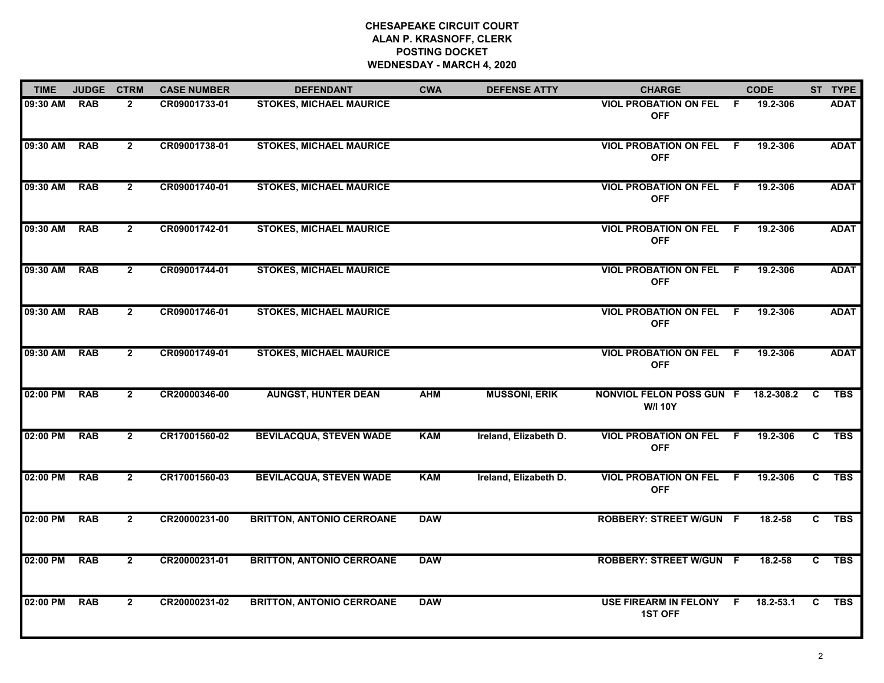| <b>TIME</b> | <b>JUDGE</b> | <b>CTRM</b>    | <b>CASE NUMBER</b> | <b>DEFENDANT</b>                 | <b>CWA</b> | <b>DEFENSE ATTY</b>   | <b>CHARGE</b>                                     |     | <b>CODE</b> |    | ST TYPE     |
|-------------|--------------|----------------|--------------------|----------------------------------|------------|-----------------------|---------------------------------------------------|-----|-------------|----|-------------|
| 09:30 AM    | <b>RAB</b>   | $\mathbf{2}$   | CR09001733-01      | <b>STOKES, MICHAEL MAURICE</b>   |            |                       | VIOL PROBATION ON FEL F<br><b>OFF</b>             |     | 19.2-306    |    | <b>ADAT</b> |
| 09:30 AM    | <b>RAB</b>   | $\overline{2}$ | CR09001738-01      | <b>STOKES, MICHAEL MAURICE</b>   |            |                       | <b>VIOL PROBATION ON FEL</b><br><b>OFF</b>        | - F | 19.2-306    |    | <b>ADAT</b> |
| 09:30 AM    | <b>RAB</b>   | $\mathbf{2}$   | CR09001740-01      | <b>STOKES, MICHAEL MAURICE</b>   |            |                       | <b>VIOL PROBATION ON FEL</b><br><b>OFF</b>        | - F | 19.2-306    |    | <b>ADAT</b> |
| 09:30 AM    | <b>RAB</b>   | $\mathbf{2}$   | CR09001742-01      | <b>STOKES, MICHAEL MAURICE</b>   |            |                       | <b>VIOL PROBATION ON FEL</b><br><b>OFF</b>        | - F | 19.2-306    |    | <b>ADAT</b> |
| 09:30 AM    | <b>RAB</b>   | $\mathbf{2}$   | CR09001744-01      | <b>STOKES, MICHAEL MAURICE</b>   |            |                       | <b>VIOL PROBATION ON FEL</b><br><b>OFF</b>        | - F | 19.2-306    |    | <b>ADAT</b> |
| 09:30 AM    | <b>RAB</b>   | $\overline{2}$ | CR09001746-01      | <b>STOKES, MICHAEL MAURICE</b>   |            |                       | <b>VIOL PROBATION ON FEL F</b><br><b>OFF</b>      |     | 19.2-306    |    | <b>ADAT</b> |
| 09:30 AM    | <b>RAB</b>   | $\overline{2}$ | CR09001749-01      | <b>STOKES, MICHAEL MAURICE</b>   |            |                       | VIOL PROBATION ON FEL F<br><b>OFF</b>             |     | 19.2-306    |    | <b>ADAT</b> |
| 02:00 PM    | <b>RAB</b>   | $2^{\circ}$    | CR20000346-00      | <b>AUNGST, HUNTER DEAN</b>       | <b>AHM</b> | <b>MUSSONI, ERIK</b>  | <b>NONVIOL FELON POSS GUN F</b><br><b>W/I 10Y</b> |     | 18.2-308.2  | C  | <b>TBS</b>  |
| 02:00 PM    | <b>RAB</b>   | $\overline{2}$ | CR17001560-02      | <b>BEVILACQUA, STEVEN WADE</b>   | <b>KAM</b> | Ireland, Elizabeth D. | <b>VIOL PROBATION ON FEL F</b><br><b>OFF</b>      |     | 19.2-306    | C  | <b>TBS</b>  |
| 02:00 PM    | <b>RAB</b>   | $\overline{2}$ | CR17001560-03      | <b>BEVILACQUA, STEVEN WADE</b>   | <b>KAM</b> | Ireland, Elizabeth D. | <b>VIOL PROBATION ON FEL</b><br><b>OFF</b>        | - F | 19.2-306    | C. | <b>TBS</b>  |
| 02:00 PM    | <b>RAB</b>   | $\overline{2}$ | CR20000231-00      | <b>BRITTON, ANTONIO CERROANE</b> | <b>DAW</b> |                       | <b>ROBBERY: STREET W/GUN F</b>                    |     | 18.2-58     | C. | <b>TBS</b>  |
| 02:00 PM    | <b>RAB</b>   | $\overline{2}$ | CR20000231-01      | <b>BRITTON, ANTONIO CERROANE</b> | <b>DAW</b> |                       | <b>ROBBERY: STREET W/GUN F</b>                    |     | 18.2-58     | C  | <b>TBS</b>  |
| 02:00 PM    | <b>RAB</b>   | $\overline{2}$ | CR20000231-02      | <b>BRITTON, ANTONIO CERROANE</b> | <b>DAW</b> |                       | USE FIREARM IN FELONY F<br><b>1ST OFF</b>         |     | 18.2-53.1   | C  | <b>TBS</b>  |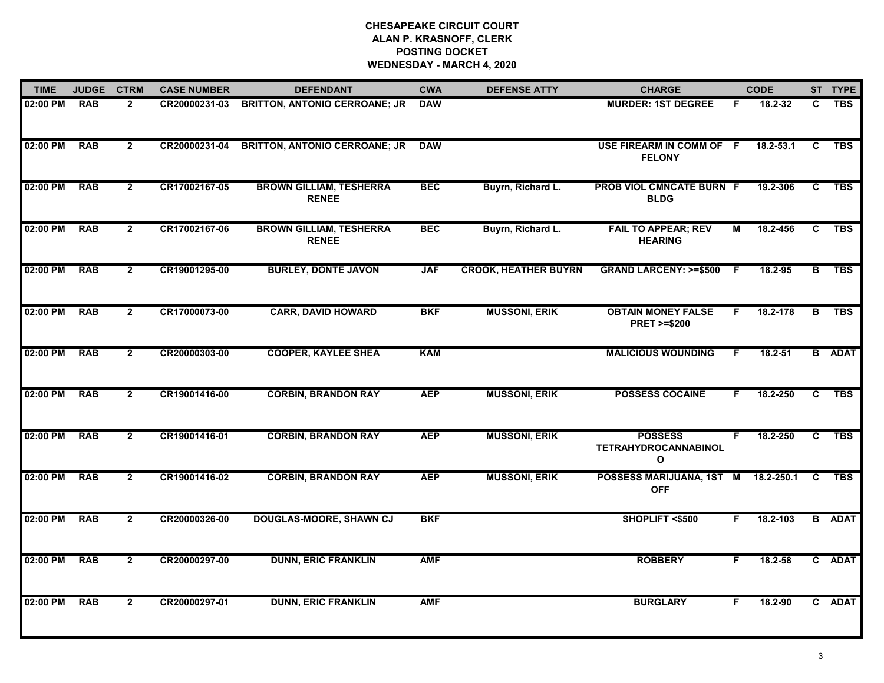| <b>TIME</b> | <b>JUDGE</b> | <b>CTRM</b>    | <b>CASE NUMBER</b> | <b>DEFENDANT</b>                               | <b>CWA</b> | <b>DEFENSE ATTY</b>         | <b>CHARGE</b>                                       |    | <b>CODE</b> |              | ST TYPE       |
|-------------|--------------|----------------|--------------------|------------------------------------------------|------------|-----------------------------|-----------------------------------------------------|----|-------------|--------------|---------------|
| 02:00 PM    | <b>RAB</b>   | $\mathbf{2}$   | CR20000231-03      | <b>BRITTON, ANTONIO CERROANE; JR</b>           | <b>DAW</b> |                             | <b>MURDER: 1ST DEGREE</b>                           | F. | 18.2-32     | C.           | <b>TBS</b>    |
| 02:00 PM    | <b>RAB</b>   | $\overline{2}$ | CR20000231-04      | <b>BRITTON, ANTONIO CERROANE; JR</b>           | <b>DAW</b> |                             | USE FIREARM IN COMM OF F<br><b>FELONY</b>           |    | 18.2-53.1   | C            | <b>TBS</b>    |
| 02:00 PM    | <b>RAB</b>   | $2^{\circ}$    | CR17002167-05      | <b>BROWN GILLIAM, TESHERRA</b><br><b>RENEE</b> | <b>BEC</b> | Buyrn, Richard L.           | PROB VIOL CMNCATE BURN F<br><b>BLDG</b>             |    | 19.2-306    | C            | <b>TBS</b>    |
| 02:00 PM    | <b>RAB</b>   | $\overline{2}$ | CR17002167-06      | <b>BROWN GILLIAM, TESHERRA</b><br><b>RENEE</b> | <b>BEC</b> | Buyrn, Richard L.           | <b>FAIL TO APPEAR; REV</b><br><b>HEARING</b>        | М  | 18.2-456    | C            | <b>TBS</b>    |
| 02:00 PM    | <b>RAB</b>   | $\overline{2}$ | CR19001295-00      | <b>BURLEY, DONTE JAVON</b>                     | <b>JAF</b> | <b>CROOK, HEATHER BUYRN</b> | <b>GRAND LARCENY: &gt;=\$500</b>                    | -F | 18.2-95     | B            | <b>TBS</b>    |
| 02:00 PM    | <b>RAB</b>   | $\overline{2}$ | CR17000073-00      | <b>CARR, DAVID HOWARD</b>                      | <b>BKF</b> | <b>MUSSONI, ERIK</b>        | <b>OBTAIN MONEY FALSE</b><br><b>PRET &gt;=\$200</b> | F. | 18.2-178    | в            | <b>TBS</b>    |
| 02:00 PM    | <b>RAB</b>   | $\overline{2}$ | CR20000303-00      | <b>COOPER, KAYLEE SHEA</b>                     | <b>KAM</b> |                             | <b>MALICIOUS WOUNDING</b>                           | F  | 18.2-51     |              | <b>B</b> ADAT |
| 02:00 PM    | <b>RAB</b>   | $\overline{2}$ | CR19001416-00      | <b>CORBIN, BRANDON RAY</b>                     | <b>AEP</b> | <b>MUSSONI, ERIK</b>        | <b>POSSESS COCAINE</b>                              | F. | 18.2-250    | $\mathbf{c}$ | <b>TBS</b>    |
| 02:00 PM    | <b>RAB</b>   | $\overline{2}$ | CR19001416-01      | <b>CORBIN, BRANDON RAY</b>                     | <b>AEP</b> | <b>MUSSONI, ERIK</b>        | <b>POSSESS</b><br><b>TETRAHYDROCANNABINOL</b><br>O  | F. | 18.2-250    | C            | <b>TBS</b>    |
| 02:00 PM    | <b>RAB</b>   | $\overline{2}$ | CR19001416-02      | <b>CORBIN, BRANDON RAY</b>                     | <b>AEP</b> | <b>MUSSONI, ERIK</b>        | POSSESS MARIJUANA, 1ST M<br><b>OFF</b>              |    | 18.2-250.1  | C.           | <b>TBS</b>    |
| 02:00 PM    | <b>RAB</b>   | $\mathbf{2}$   | CR20000326-00      | <b>DOUGLAS-MOORE, SHAWN CJ</b>                 | <b>BKF</b> |                             | SHOPLIFT <\$500                                     | F. | 18.2-103    |              | <b>B</b> ADAT |
| 02:00 PM    | <b>RAB</b>   | $\overline{2}$ | CR20000297-00      | <b>DUNN, ERIC FRANKLIN</b>                     | <b>AMF</b> |                             | <b>ROBBERY</b>                                      | F. | 18.2-58     |              | C ADAT        |
| 02:00 PM    | <b>RAB</b>   | $\overline{2}$ | CR20000297-01      | <b>DUNN, ERIC FRANKLIN</b>                     | <b>AMF</b> |                             | <b>BURGLARY</b>                                     | F  | 18.2-90     |              | C ADAT        |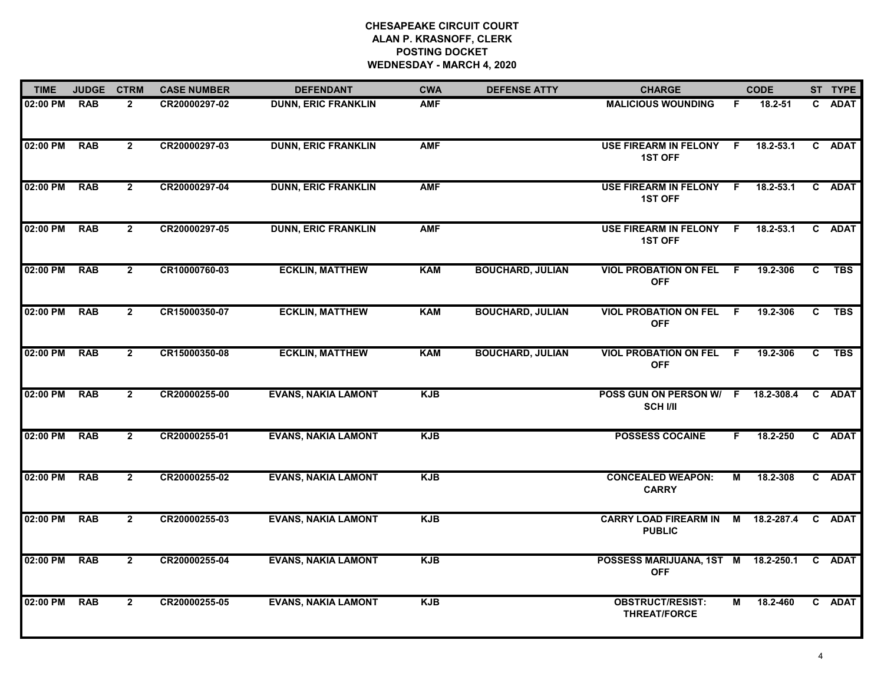| <b>TIME</b> | <b>JUDGE</b> | <b>CTRM</b>    | <b>CASE NUMBER</b> | <b>DEFENDANT</b>           | <b>CWA</b> | <b>DEFENSE ATTY</b>     | <b>CHARGE</b>                                         |                | <b>CODE</b>   |                | ST TYPE     |
|-------------|--------------|----------------|--------------------|----------------------------|------------|-------------------------|-------------------------------------------------------|----------------|---------------|----------------|-------------|
| 02:00 PM    | <b>RAB</b>   | $\mathbf{2}$   | CR20000297-02      | <b>DUNN, ERIC FRANKLIN</b> | <b>AMF</b> |                         | <b>MALICIOUS WOUNDING</b>                             | F              | 18.2-51       |                | C ADAT      |
| 02:00 PM    | <b>RAB</b>   | $\overline{2}$ | CR20000297-03      | <b>DUNN, ERIC FRANKLIN</b> | <b>AMF</b> |                         | <b>USE FIREARM IN FELONY</b><br><b>1ST OFF</b>        | -F             | 18.2-53.1     |                | C ADAT      |
| 02:00 PM    | <b>RAB</b>   | $\mathbf{2}$   | CR20000297-04      | <b>DUNN, ERIC FRANKLIN</b> | <b>AMF</b> |                         | <b>USE FIREARM IN FELONY</b><br><b>1ST OFF</b>        | F.             | $18.2 - 53.1$ |                | C ADAT      |
| 02:00 PM    | <b>RAB</b>   | $\overline{2}$ | CR20000297-05      | <b>DUNN, ERIC FRANKLIN</b> | <b>AMF</b> |                         | USE FIREARM IN FELONY F<br><b>1ST OFF</b>             |                | $18.2 - 53.1$ |                | C ADAT      |
| 02:00 PM    | <b>RAB</b>   | $\overline{2}$ | CR10000760-03      | <b>ECKLIN, MATTHEW</b>     | <b>KAM</b> | <b>BOUCHARD, JULIAN</b> | <b>VIOL PROBATION ON FEL</b><br><b>OFF</b>            | F.             | 19.2-306      | C              | <b>TBS</b>  |
| 02:00 PM    | <b>RAB</b>   | $\overline{2}$ | CR15000350-07      | <b>ECKLIN, MATTHEW</b>     | <b>KAM</b> | <b>BOUCHARD, JULIAN</b> | <b>VIOL PROBATION ON FEL F</b><br><b>OFF</b>          |                | 19.2-306      | $\overline{c}$ | <b>TBS</b>  |
| 02:00 PM    | <b>RAB</b>   | $\overline{2}$ | CR15000350-08      | <b>ECKLIN, MATTHEW</b>     | <b>KAM</b> | <b>BOUCHARD, JULIAN</b> | <b>VIOL PROBATION ON FEL</b><br><b>OFF</b>            | $\overline{F}$ | 19.2-306      | $\overline{c}$ | <b>TBS</b>  |
| 02:00 PM    | <b>RAB</b>   | $2^{\circ}$    | CR20000255-00      | <b>EVANS, NAKIA LAMONT</b> | <b>KJB</b> |                         | POSS GUN ON PERSON W/ F 18.2-308.4<br><b>SCH I/II</b> |                |               | $\mathbf{C}$   | <b>ADAT</b> |
| 02:00 PM    | <b>RAB</b>   | $\overline{2}$ | CR20000255-01      | <b>EVANS, NAKIA LAMONT</b> | <b>KJB</b> |                         | <b>POSSESS COCAINE</b>                                | F.             | 18.2-250      |                | C ADAT      |
| 02:00 PM    | <b>RAB</b>   | $\overline{2}$ | CR20000255-02      | <b>EVANS, NAKIA LAMONT</b> | <b>KJB</b> |                         | <b>CONCEALED WEAPON:</b><br><b>CARRY</b>              | М              | 18.2-308      |                | C ADAT      |
| 02:00 PM    | <b>RAB</b>   | $\mathbf{2}$   | CR20000255-03      | <b>EVANS, NAKIA LAMONT</b> | <b>KJB</b> |                         | <b>CARRY LOAD FIREARM IN</b><br><b>PUBLIC</b>         | M              | 18.2-287.4    |                | C ADAT      |
| 02:00 PM    | <b>RAB</b>   | $\overline{2}$ | CR20000255-04      | <b>EVANS, NAKIA LAMONT</b> | <b>KJB</b> |                         | POSSESS MARIJUANA, 1ST M 18.2-250.1<br><b>OFF</b>     |                |               |                | C ADAT      |
| 02:00 PM    | <b>RAB</b>   | $\mathbf{2}$   | CR20000255-05      | <b>EVANS, NAKIA LAMONT</b> | <b>KJB</b> |                         | <b>OBSTRUCT/RESIST:</b><br><b>THREAT/FORCE</b>        | Μ              | 18.2-460      |                | C ADAT      |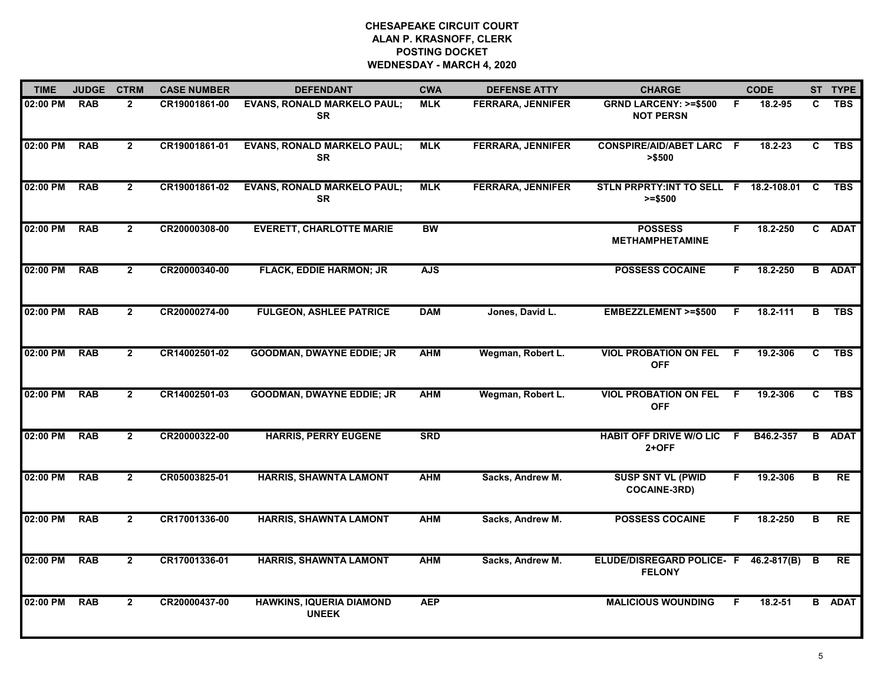| <b>TIME</b> | <b>JUDGE</b> | <b>CTRM</b>    | <b>CASE NUMBER</b> | <b>DEFENDANT</b>                                | <b>CWA</b> | <b>DEFENSE ATTY</b>      | <b>CHARGE</b>                                          |                | <b>CODE</b> |                         | ST TYPE       |
|-------------|--------------|----------------|--------------------|-------------------------------------------------|------------|--------------------------|--------------------------------------------------------|----------------|-------------|-------------------------|---------------|
| 02:00 PM    | <b>RAB</b>   | $\overline{2}$ | CR19001861-00      | <b>EVANS, RONALD MARKELO PAUL;</b><br><b>SR</b> | <b>MLK</b> | <b>FERRARA, JENNIFER</b> | <b>GRND LARCENY: &gt;=\$500</b><br><b>NOT PERSN</b>    | F              | 18.2-95     | C.                      | <b>TBS</b>    |
| 02:00 PM    | <b>RAB</b>   | $\overline{2}$ | CR19001861-01      | <b>EVANS, RONALD MARKELO PAUL;</b><br><b>SR</b> | <b>MLK</b> | <b>FERRARA, JENNIFER</b> | <b>CONSPIRE/AID/ABET LARC F</b><br>> \$500             |                | 18.2-23     | C.                      | <b>TBS</b>    |
| 02:00 PM    | <b>RAB</b>   | $\mathbf{2}$   | CR19001861-02      | <b>EVANS, RONALD MARKELO PAUL;</b><br><b>SR</b> | <b>MLK</b> | <b>FERRARA, JENNIFER</b> | STLN PRPRTY: INT TO SELL F 18.2-108.01<br>$>= $500$    |                |             | C                       | <b>TBS</b>    |
| 02:00 PM    | <b>RAB</b>   | $\overline{2}$ | CR20000308-00      | <b>EVERETT, CHARLOTTE MARIE</b>                 | <b>BW</b>  |                          | <b>POSSESS</b><br><b>METHAMPHETAMINE</b>               | F.             | 18.2-250    |                         | C ADAT        |
| 02:00 PM    | <b>RAB</b>   | $\overline{2}$ | CR20000340-00      | <b>FLACK, EDDIE HARMON; JR</b>                  | <b>AJS</b> |                          | <b>POSSESS COCAINE</b>                                 | F.             | 18.2-250    |                         | <b>B</b> ADAT |
| 02:00 PM    | <b>RAB</b>   | $\mathbf{2}$   | CR20000274-00      | <b>FULGEON, ASHLEE PATRICE</b>                  | <b>DAM</b> | Jones, David L.          | <b>EMBEZZLEMENT &gt;=\$500</b>                         | E              | 18.2-111    | в                       | <b>TBS</b>    |
| 02:00 PM    | <b>RAB</b>   | $\overline{2}$ | CR14002501-02      | <b>GOODMAN, DWAYNE EDDIE; JR</b>                | <b>AHM</b> | Wegman, Robert L.        | <b>VIOL PROBATION ON FEL</b><br><b>OFF</b>             | $\overline{F}$ | 19.2-306    | C                       | <b>TBS</b>    |
| 02:00 PM    | <b>RAB</b>   | $\overline{2}$ | CR14002501-03      | <b>GOODMAN, DWAYNE EDDIE; JR</b>                | <b>AHM</b> | Wegman, Robert L.        | <b>VIOL PROBATION ON FEL</b><br><b>OFF</b>             | E              | 19.2-306    | C                       | <b>TBS</b>    |
| 02:00 PM    | <b>RAB</b>   | $\overline{2}$ | CR20000322-00      | <b>HARRIS, PERRY EUGENE</b>                     | <b>SRD</b> |                          | <b>HABIT OFF DRIVE W/O LIC</b><br>$2+OFF$              | -F             | B46.2-357   | B                       | <b>ADAT</b>   |
| 02:00 PM    | <b>RAB</b>   | $\overline{2}$ | CR05003825-01      | <b>HARRIS, SHAWNTA LAMONT</b>                   | <b>AHM</b> | Sacks, Andrew M.         | <b>SUSP SNT VL (PWID</b><br><b>COCAINE-3RD)</b>        | F.             | 19.2-306    | $\overline{\mathbf{B}}$ | RE            |
| 02:00 PM    | <b>RAB</b>   | $\overline{2}$ | CR17001336-00      | <b>HARRIS, SHAWNTA LAMONT</b>                   | <b>AHM</b> | Sacks, Andrew M.         | <b>POSSESS COCAINE</b>                                 | F.             | 18.2-250    | B                       | RE            |
| 02:00 PM    | <b>RAB</b>   | $\overline{2}$ | CR17001336-01      | <b>HARRIS, SHAWNTA LAMONT</b>                   | <b>AHM</b> | Sacks, Andrew M.         | ELUDE/DISREGARD POLICE- F 46.2-817(B)<br><b>FELONY</b> |                |             | B                       | RE            |
| 02:00 PM    | <b>RAB</b>   | $\overline{2}$ | CR20000437-00      | <b>HAWKINS, IQUERIA DIAMOND</b><br><b>UNEEK</b> | <b>AEP</b> |                          | <b>MALICIOUS WOUNDING</b>                              | F              | 18.2-51     |                         | <b>B</b> ADAT |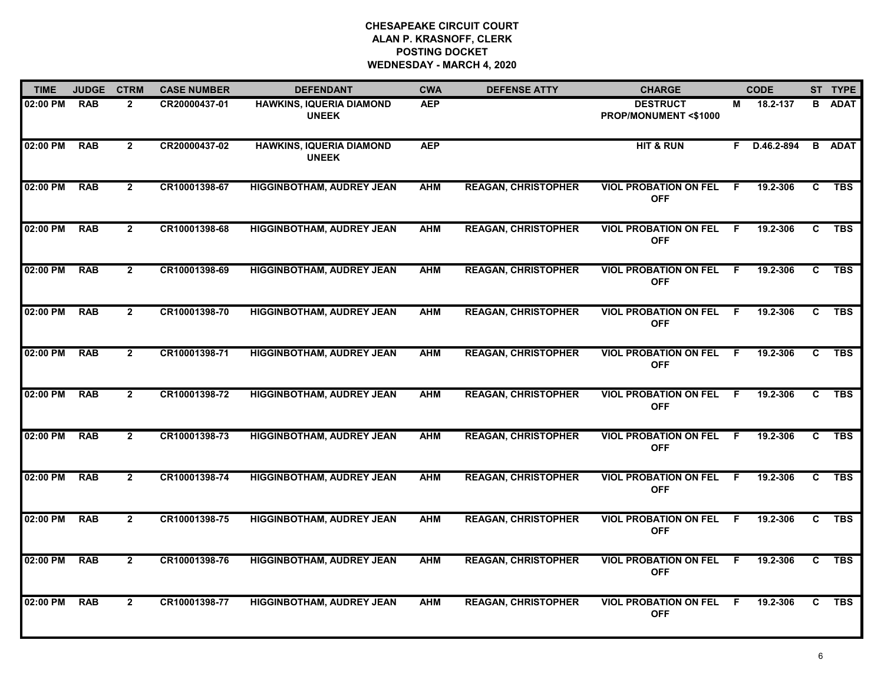| <b>TIME</b> | <b>JUDGE</b> | <b>CTRM</b>    | <b>CASE NUMBER</b> | <b>DEFENDANT</b>                                | <b>CWA</b> | <b>DEFENSE ATTY</b>        | <b>CHARGE</b>                                      |                | <b>CODE</b>  |                | ST TYPE       |
|-------------|--------------|----------------|--------------------|-------------------------------------------------|------------|----------------------------|----------------------------------------------------|----------------|--------------|----------------|---------------|
| 02:00 PM    | <b>RAB</b>   | $\overline{2}$ | CR20000437-01      | <b>HAWKINS, IQUERIA DIAMOND</b><br><b>UNEEK</b> | <b>AEP</b> |                            | <b>DESTRUCT</b><br><b>PROP/MONUMENT &lt;\$1000</b> | м              | 18.2-137     | B              | <b>ADAT</b>   |
| 02:00 PM    | <b>RAB</b>   | $\mathbf{2}$   | CR20000437-02      | <b>HAWKINS, IQUERIA DIAMOND</b><br><b>UNEEK</b> | <b>AEP</b> |                            | <b>HIT &amp; RUN</b>                               |                | F D.46.2-894 |                | <b>B</b> ADAT |
| 02:00 PM    | <b>RAB</b>   | $\overline{2}$ | CR10001398-67      | <b>HIGGINBOTHAM, AUDREY JEAN</b>                | <b>AHM</b> | <b>REAGAN, CHRISTOPHER</b> | <b>VIOL PROBATION ON FEL</b><br><b>OFF</b>         | -F.            | 19.2-306     | C.             | <b>TBS</b>    |
| 02:00 PM    | <b>RAB</b>   | $\overline{2}$ | CR10001398-68      | <b>HIGGINBOTHAM, AUDREY JEAN</b>                | <b>AHM</b> | <b>REAGAN, CHRISTOPHER</b> | <b>VIOL PROBATION ON FEL</b><br><b>OFF</b>         | - F            | 19.2-306     | C.             | <b>TBS</b>    |
| 02:00 PM    | <b>RAB</b>   | $\mathbf{2}$   | CR10001398-69      | <b>HIGGINBOTHAM, AUDREY JEAN</b>                | <b>AHM</b> | <b>REAGAN, CHRISTOPHER</b> | <b>VIOL PROBATION ON FEL</b><br><b>OFF</b>         | - F            | 19.2-306     | C.             | <b>TBS</b>    |
| 02:00 PM    | <b>RAB</b>   | $\mathbf{2}$   | CR10001398-70      | <b>HIGGINBOTHAM, AUDREY JEAN</b>                | <b>AHM</b> | <b>REAGAN, CHRISTOPHER</b> | <b>VIOL PROBATION ON FEL F</b><br><b>OFF</b>       |                | 19.2-306     | C.             | <b>TBS</b>    |
| 02:00 PM    | <b>RAB</b>   | $\overline{2}$ | CR10001398-71      | <b>HIGGINBOTHAM, AUDREY JEAN</b>                | <b>AHM</b> | <b>REAGAN, CHRISTOPHER</b> | <b>VIOL PROBATION ON FEL</b><br><b>OFF</b>         | $\overline{F}$ | 19.2-306     | C              | <b>TBS</b>    |
| 02:00 PM    | <b>RAB</b>   | $2^{\circ}$    | CR10001398-72      | <b>HIGGINBOTHAM, AUDREY JEAN</b>                | <b>AHM</b> | <b>REAGAN, CHRISTOPHER</b> | <b>VIOL PROBATION ON FEL</b><br><b>OFF</b>         | - F            | 19.2-306     | C              | <b>TBS</b>    |
| 02:00 PM    | <b>RAB</b>   | $\overline{2}$ | CR10001398-73      | <b>HIGGINBOTHAM, AUDREY JEAN</b>                | <b>AHM</b> | <b>REAGAN, CHRISTOPHER</b> | <b>VIOL PROBATION ON FEL</b><br><b>OFF</b>         | - F            | 19.2-306     | C              | <b>TBS</b>    |
| 02:00 PM    | <b>RAB</b>   | $\overline{2}$ | CR10001398-74      | <b>HIGGINBOTHAM, AUDREY JEAN</b>                | <b>AHM</b> | <b>REAGAN, CHRISTOPHER</b> | <b>VIOL PROBATION ON FEL</b><br><b>OFF</b>         | -F             | 19.2-306     | C              | <b>TBS</b>    |
| 02:00 PM    | <b>RAB</b>   | $\mathbf{2}$   | CR10001398-75      | <b>HIGGINBOTHAM, AUDREY JEAN</b>                | <b>AHM</b> | <b>REAGAN, CHRISTOPHER</b> | <b>VIOL PROBATION ON FEL</b><br><b>OFF</b>         | F.             | 19.2-306     | C              | <b>TBS</b>    |
| 02:00 PM    | <b>RAB</b>   | $\overline{2}$ | CR10001398-76      | <b>HIGGINBOTHAM, AUDREY JEAN</b>                | <b>AHM</b> | <b>REAGAN, CHRISTOPHER</b> | <b>VIOL PROBATION ON FEL</b><br><b>OFF</b>         | - F            | 19.2-306     | $\overline{c}$ | <b>TBS</b>    |
| 02:00 PM    | <b>RAB</b>   | $\overline{2}$ | CR10001398-77      | <b>HIGGINBOTHAM, AUDREY JEAN</b>                | <b>AHM</b> | <b>REAGAN, CHRISTOPHER</b> | <b>VIOL PROBATION ON FEL</b><br><b>OFF</b>         | - F            | 19.2-306     | C              | <b>TBS</b>    |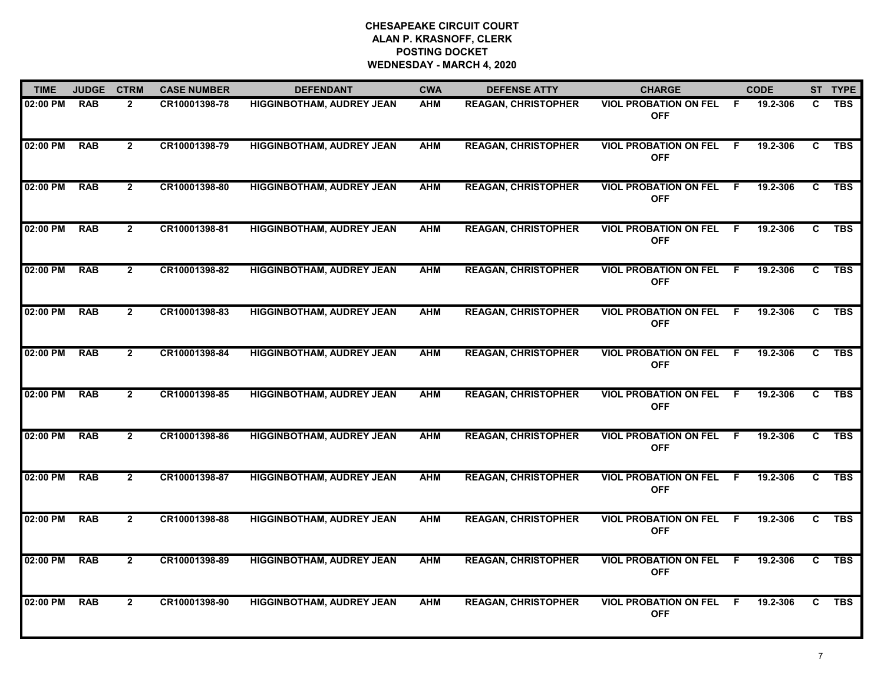| <b>TIME</b> | <b>JUDGE</b> | <b>CTRM</b>    | <b>CASE NUMBER</b> | <b>DEFENDANT</b>                 | <b>CWA</b> | <b>DEFENSE ATTY</b>        | <b>CHARGE</b>                              |    | <b>CODE</b> |    | ST TYPE    |
|-------------|--------------|----------------|--------------------|----------------------------------|------------|----------------------------|--------------------------------------------|----|-------------|----|------------|
| 02:00 PM    | <b>RAB</b>   | $\overline{2}$ | CR10001398-78      | <b>HIGGINBOTHAM, AUDREY JEAN</b> | <b>AHM</b> | <b>REAGAN, CHRISTOPHER</b> | <b>VIOL PROBATION ON FEL</b><br><b>OFF</b> | .F | 19.2-306    | C. | <b>TBS</b> |
| 02:00 PM    | <b>RAB</b>   | $\overline{2}$ | CR10001398-79      | <b>HIGGINBOTHAM, AUDREY JEAN</b> | <b>AHM</b> | <b>REAGAN, CHRISTOPHER</b> | <b>VIOL PROBATION ON FEL</b><br><b>OFF</b> | -F | 19.2-306    | C  | <b>TBS</b> |
| 02:00 PM    | <b>RAB</b>   | $\overline{2}$ | CR10001398-80      | <b>HIGGINBOTHAM, AUDREY JEAN</b> | <b>AHM</b> | <b>REAGAN, CHRISTOPHER</b> | <b>VIOL PROBATION ON FEL</b><br><b>OFF</b> | F. | 19.2-306    | C. | <b>TBS</b> |
| 02:00 PM    | <b>RAB</b>   | $2^{\circ}$    | CR10001398-81      | <b>HIGGINBOTHAM, AUDREY JEAN</b> | <b>AHM</b> | <b>REAGAN, CHRISTOPHER</b> | <b>VIOL PROBATION ON FEL</b><br><b>OFF</b> | F  | 19.2-306    | C. | <b>TBS</b> |
| 02:00 PM    | <b>RAB</b>   | $\overline{2}$ | CR10001398-82      | <b>HIGGINBOTHAM, AUDREY JEAN</b> | <b>AHM</b> | <b>REAGAN, CHRISTOPHER</b> | <b>VIOL PROBATION ON FEL</b><br><b>OFF</b> | F. | 19.2-306    | C. | <b>TBS</b> |
| 02:00 PM    | <b>RAB</b>   | $\mathbf{2}$   | CR10001398-83      | <b>HIGGINBOTHAM, AUDREY JEAN</b> | <b>AHM</b> | <b>REAGAN, CHRISTOPHER</b> | <b>VIOL PROBATION ON FEL</b><br><b>OFF</b> | -F | 19.2-306    | C. | <b>TBS</b> |
| 02:00 PM    | <b>RAB</b>   | $\overline{2}$ | CR10001398-84      | <b>HIGGINBOTHAM, AUDREY JEAN</b> | <b>AHM</b> | <b>REAGAN, CHRISTOPHER</b> | <b>VIOL PROBATION ON FEL</b><br><b>OFF</b> | F. | 19.2-306    | C  | <b>TBS</b> |
| 02:00 PM    | <b>RAB</b>   | $\overline{2}$ | CR10001398-85      | <b>HIGGINBOTHAM, AUDREY JEAN</b> | <b>AHM</b> | <b>REAGAN, CHRISTOPHER</b> | <b>VIOL PROBATION ON FEL</b><br><b>OFF</b> | F  | 19.2-306    | C  | <b>TBS</b> |
| 02:00 PM    | <b>RAB</b>   | $\mathbf{2}$   | CR10001398-86      | <b>HIGGINBOTHAM, AUDREY JEAN</b> | <b>AHM</b> | <b>REAGAN, CHRISTOPHER</b> | <b>VIOL PROBATION ON FEL</b><br><b>OFF</b> | -F | 19.2-306    | C. | <b>TBS</b> |
| 02:00 PM    | <b>RAB</b>   | $\overline{2}$ | CR10001398-87      | <b>HIGGINBOTHAM, AUDREY JEAN</b> | <b>AHM</b> | <b>REAGAN, CHRISTOPHER</b> | <b>VIOL PROBATION ON FEL</b><br><b>OFF</b> | F  | 19.2-306    | C  | <b>TBS</b> |
| 02:00 PM    | <b>RAB</b>   | $\overline{2}$ | CR10001398-88      | <b>HIGGINBOTHAM, AUDREY JEAN</b> | <b>AHM</b> | <b>REAGAN, CHRISTOPHER</b> | <b>VIOL PROBATION ON FEL</b><br><b>OFF</b> | -F | 19.2-306    | C. | <b>TBS</b> |
| 02:00 PM    | <b>RAB</b>   | $\overline{2}$ | CR10001398-89      | <b>HIGGINBOTHAM, AUDREY JEAN</b> | <b>AHM</b> | <b>REAGAN, CHRISTOPHER</b> | <b>VIOL PROBATION ON FEL</b><br><b>OFF</b> | F. | 19.2-306    | C. | <b>TBS</b> |
| 02:00 PM    | <b>RAB</b>   | $\overline{2}$ | CR10001398-90      | <b>HIGGINBOTHAM, AUDREY JEAN</b> | <b>AHM</b> | <b>REAGAN, CHRISTOPHER</b> | <b>VIOL PROBATION ON FEL</b><br><b>OFF</b> | .F | 19.2-306    | C. | <b>TBS</b> |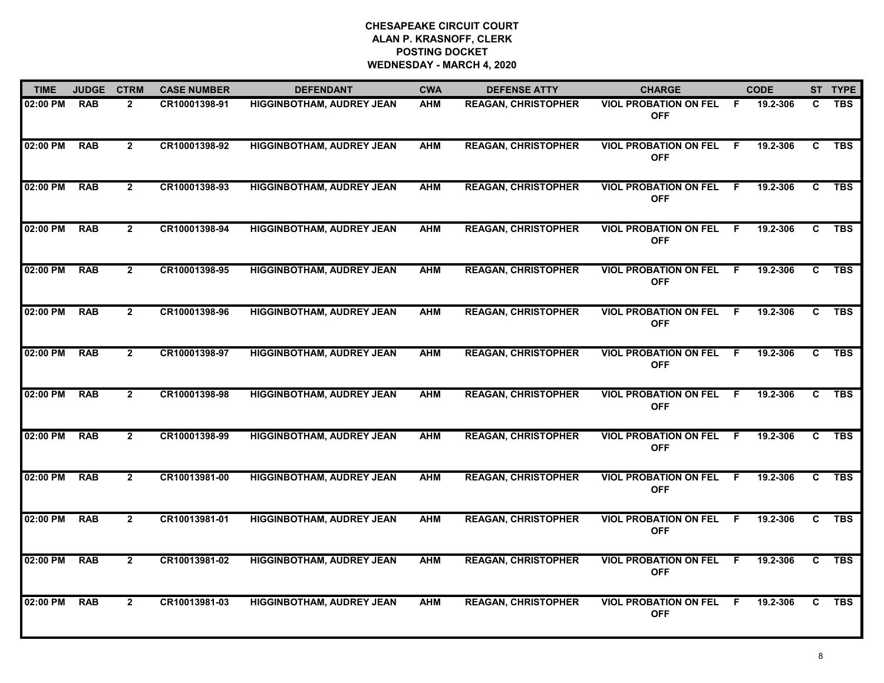| <b>TIME</b> | <b>JUDGE</b> | <b>CTRM</b>    | <b>CASE NUMBER</b> | <b>DEFENDANT</b>                 | <b>CWA</b> | <b>DEFENSE ATTY</b>        | <b>CHARGE</b>                              |    | <b>CODE</b> |    | ST TYPE    |
|-------------|--------------|----------------|--------------------|----------------------------------|------------|----------------------------|--------------------------------------------|----|-------------|----|------------|
| 02:00 PM    | <b>RAB</b>   | $\overline{2}$ | CR10001398-91      | <b>HIGGINBOTHAM, AUDREY JEAN</b> | <b>AHM</b> | <b>REAGAN, CHRISTOPHER</b> | <b>VIOL PROBATION ON FEL</b><br><b>OFF</b> | -F | 19.2-306    | C. | <b>TBS</b> |
| 02:00 PM    | <b>RAB</b>   | $\overline{2}$ | CR10001398-92      | <b>HIGGINBOTHAM, AUDREY JEAN</b> | <b>AHM</b> | <b>REAGAN, CHRISTOPHER</b> | <b>VIOL PROBATION ON FEL</b><br><b>OFF</b> | -F | 19.2-306    | C  | <b>TBS</b> |
| 02:00 PM    | <b>RAB</b>   | $\overline{2}$ | CR10001398-93      | <b>HIGGINBOTHAM, AUDREY JEAN</b> | <b>AHM</b> | <b>REAGAN, CHRISTOPHER</b> | <b>VIOL PROBATION ON FEL</b><br><b>OFF</b> | .F | 19.2-306    | C. | <b>TBS</b> |
| 02:00 PM    | <b>RAB</b>   | $\mathbf{2}$   | CR10001398-94      | <b>HIGGINBOTHAM, AUDREY JEAN</b> | <b>AHM</b> | <b>REAGAN, CHRISTOPHER</b> | <b>VIOL PROBATION ON FEL</b><br><b>OFF</b> | .F | 19.2-306    | C. | <b>TBS</b> |
| 02:00 PM    | <b>RAB</b>   | $\mathbf{2}$   | CR10001398-95      | <b>HIGGINBOTHAM, AUDREY JEAN</b> | <b>AHM</b> | <b>REAGAN, CHRISTOPHER</b> | <b>VIOL PROBATION ON FEL</b><br><b>OFF</b> | -F | 19.2-306    | C. | <b>TBS</b> |
| 02:00 PM    | <b>RAB</b>   | $\mathbf{2}$   | CR10001398-96      | <b>HIGGINBOTHAM, AUDREY JEAN</b> | <b>AHM</b> | <b>REAGAN, CHRISTOPHER</b> | <b>VIOL PROBATION ON FEL</b><br><b>OFF</b> | -F | 19.2-306    | C. | <b>TBS</b> |
| 02:00 PM    | <b>RAB</b>   | $\overline{2}$ | CR10001398-97      | <b>HIGGINBOTHAM, AUDREY JEAN</b> | <b>AHM</b> | <b>REAGAN, CHRISTOPHER</b> | <b>VIOL PROBATION ON FEL</b><br><b>OFF</b> | -F | 19.2-306    | C  | <b>TBS</b> |
| 02:00 PM    | <b>RAB</b>   | $2^{\circ}$    | CR10001398-98      | <b>HIGGINBOTHAM, AUDREY JEAN</b> | <b>AHM</b> | <b>REAGAN, CHRISTOPHER</b> | <b>VIOL PROBATION ON FEL</b><br><b>OFF</b> | -F | 19.2-306    | C  | <b>TBS</b> |
| 02:00 PM    | <b>RAB</b>   | $\mathbf{2}$   | CR10001398-99      | <b>HIGGINBOTHAM, AUDREY JEAN</b> | <b>AHM</b> | <b>REAGAN, CHRISTOPHER</b> | <b>VIOL PROBATION ON FEL</b><br><b>OFF</b> | -F | 19.2-306    | C. | <b>TBS</b> |
| 02:00 PM    | <b>RAB</b>   | $\overline{2}$ | CR10013981-00      | <b>HIGGINBOTHAM, AUDREY JEAN</b> | <b>AHM</b> | <b>REAGAN, CHRISTOPHER</b> | <b>VIOL PROBATION ON FEL</b><br><b>OFF</b> | F  | 19.2-306    | C  | <b>TBS</b> |
| 02:00 PM    | <b>RAB</b>   | $\mathbf{2}$   | CR10013981-01      | <b>HIGGINBOTHAM, AUDREY JEAN</b> | <b>AHM</b> | <b>REAGAN, CHRISTOPHER</b> | <b>VIOL PROBATION ON FEL</b><br><b>OFF</b> | -F | 19.2-306    | C. | <b>TBS</b> |
| 02:00 PM    | <b>RAB</b>   | $\mathbf{2}$   | CR10013981-02      | <b>HIGGINBOTHAM, AUDREY JEAN</b> | <b>AHM</b> | <b>REAGAN, CHRISTOPHER</b> | <b>VIOL PROBATION ON FEL</b><br><b>OFF</b> | F. | 19.2-306    | C. | <b>TBS</b> |
| 02:00 PM    | <b>RAB</b>   | $\overline{2}$ | CR10013981-03      | <b>HIGGINBOTHAM, AUDREY JEAN</b> | <b>AHM</b> | <b>REAGAN, CHRISTOPHER</b> | <b>VIOL PROBATION ON FEL</b><br><b>OFF</b> | .F | 19.2-306    | C. | <b>TBS</b> |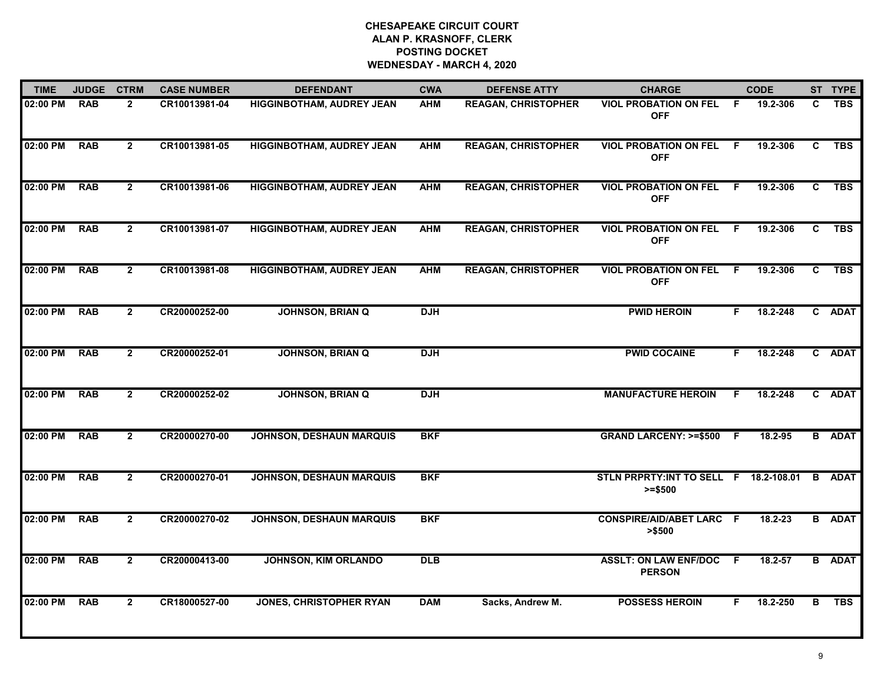| <b>TIME</b> | <b>JUDGE</b> | <b>CTRM</b>    | <b>CASE NUMBER</b> | <b>DEFENDANT</b>                 | <b>CWA</b> | <b>DEFENSE ATTY</b>        | <b>CHARGE</b>                                       |     | <b>CODE</b> |              | ST TYPE       |
|-------------|--------------|----------------|--------------------|----------------------------------|------------|----------------------------|-----------------------------------------------------|-----|-------------|--------------|---------------|
| 02:00 PM    | <b>RAB</b>   | $\overline{2}$ | CR10013981-04      | <b>HIGGINBOTHAM, AUDREY JEAN</b> | <b>AHM</b> | <b>REAGAN, CHRISTOPHER</b> | <b>VIOL PROBATION ON FEL</b><br><b>OFF</b>          | F.  | 19.2-306    | C.           | <b>TBS</b>    |
| 02:00 PM    | <b>RAB</b>   | $\overline{2}$ | CR10013981-05      | <b>HIGGINBOTHAM, AUDREY JEAN</b> | <b>AHM</b> | <b>REAGAN, CHRISTOPHER</b> | <b>VIOL PROBATION ON FEL</b><br><b>OFF</b>          | - F | 19.2-306    | C            | <b>TBS</b>    |
| 02:00 PM    | <b>RAB</b>   | $\overline{2}$ | CR10013981-06      | <b>HIGGINBOTHAM, AUDREY JEAN</b> | <b>AHM</b> | <b>REAGAN, CHRISTOPHER</b> | <b>VIOL PROBATION ON FEL</b><br><b>OFF</b>          | F.  | 19.2-306    | $\mathbf{c}$ | <b>TBS</b>    |
| 02:00 PM    | <b>RAB</b>   | $\mathbf{2}$   | CR10013981-07      | <b>HIGGINBOTHAM, AUDREY JEAN</b> | <b>AHM</b> | <b>REAGAN, CHRISTOPHER</b> | <b>VIOL PROBATION ON FEL</b><br><b>OFF</b>          | E   | 19.2-306    | C.           | <b>TBS</b>    |
| 02:00 PM    | <b>RAB</b>   | $\mathbf{2}$   | CR10013981-08      | <b>HIGGINBOTHAM, AUDREY JEAN</b> | <b>AHM</b> | <b>REAGAN, CHRISTOPHER</b> | <b>VIOL PROBATION ON FEL</b><br><b>OFF</b>          | F.  | 19.2-306    | C            | <b>TBS</b>    |
| 02:00 PM    | <b>RAB</b>   | $\overline{2}$ | CR20000252-00      | <b>JOHNSON, BRIAN Q</b>          | <b>DJH</b> |                            | <b>PWID HEROIN</b>                                  | F.  | 18.2-248    |              | C ADAT        |
| 02:00 PM    | <b>RAB</b>   | $\overline{2}$ | CR20000252-01      | <b>JOHNSON, BRIAN Q</b>          | <b>DJH</b> |                            | <b>PWID COCAINE</b>                                 | F.  | 18.2-248    |              | C ADAT        |
| 02:00 PM    | <b>RAB</b>   | $\overline{2}$ | CR20000252-02      | <b>JOHNSON, BRIAN Q</b>          | <b>DJH</b> |                            | <b>MANUFACTURE HEROIN</b>                           | F.  | 18.2-248    |              | C ADAT        |
| 02:00 PM    | <b>RAB</b>   | $\overline{2}$ | CR20000270-00      | <b>JOHNSON, DESHAUN MARQUIS</b>  | <b>BKF</b> |                            | <b>GRAND LARCENY: &gt;=\$500</b>                    | -F  | 18.2-95     |              | <b>B</b> ADAT |
| 02:00 PM    | <b>RAB</b>   | $\overline{2}$ | CR20000270-01      | <b>JOHNSON, DESHAUN MARQUIS</b>  | <b>BKF</b> |                            | STLN PRPRTY: INT TO SELL F 18.2-108.01<br>$>= $500$ |     |             |              | <b>B</b> ADAT |
| 02:00 PM    | <b>RAB</b>   | $\overline{2}$ | CR20000270-02      | <b>JOHNSON, DESHAUN MARQUIS</b>  | <b>BKF</b> |                            | <b>CONSPIRE/AID/ABET LARC F</b><br>> \$500          |     | 18.2-23     |              | <b>B</b> ADAT |
| 02:00 PM    | <b>RAB</b>   | $\overline{2}$ | CR20000413-00      | <b>JOHNSON, KIM ORLANDO</b>      | <b>DLB</b> |                            | <b>ASSLT: ON LAW ENF/DOC F</b><br><b>PERSON</b>     |     | 18.2-57     |              | <b>B</b> ADAT |
| 02:00 PM    | <b>RAB</b>   | $\overline{2}$ | CR18000527-00      | <b>JONES, CHRISTOPHER RYAN</b>   | <b>DAM</b> | Sacks, Andrew M.           | <b>POSSESS HEROIN</b>                               | F.  | 18.2-250    | в            | <b>TBS</b>    |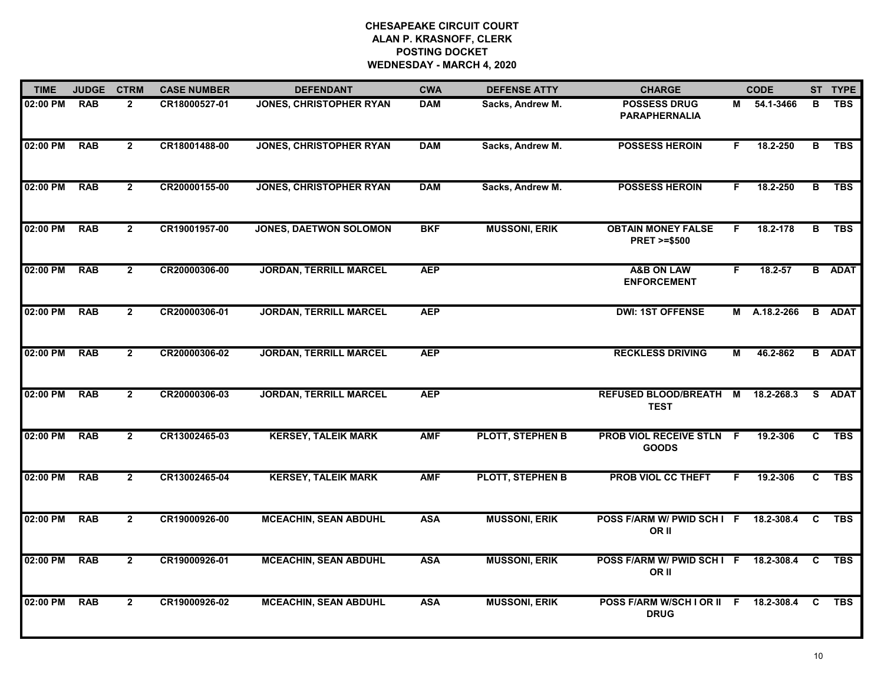| <b>TIME</b> | <b>JUDGE</b> | <b>CTRM</b>    | <b>CASE NUMBER</b> | <b>DEFENDANT</b>               | <b>CWA</b> | <b>DEFENSE ATTY</b>     | <b>CHARGE</b>                                       |    | <b>CODE</b>  |          | ST TYPE       |
|-------------|--------------|----------------|--------------------|--------------------------------|------------|-------------------------|-----------------------------------------------------|----|--------------|----------|---------------|
| 02:00 PM    | <b>RAB</b>   | $\overline{2}$ | CR18000527-01      | <b>JONES, CHRISTOPHER RYAN</b> | <b>DAM</b> | Sacks, Andrew M.        | <b>POSSESS DRUG</b><br><b>PARAPHERNALIA</b>         | М  | 54.1-3466    | В        | <b>TBS</b>    |
| 02:00 PM    | <b>RAB</b>   | $\overline{2}$ | CR18001488-00      | <b>JONES, CHRISTOPHER RYAN</b> | <b>DAM</b> | Sacks, Andrew M.        | <b>POSSESS HEROIN</b>                               | F. | 18.2-250     | в        | <b>TBS</b>    |
| 02:00 PM    | <b>RAB</b>   | $\overline{2}$ | CR20000155-00      | <b>JONES, CHRISTOPHER RYAN</b> | <b>DAM</b> | Sacks, Andrew M.        | <b>POSSESS HEROIN</b>                               | F. | 18.2-250     | B        | <b>TBS</b>    |
| 02:00 PM    | <b>RAB</b>   | $\mathbf{2}$   | CR19001957-00      | JONES, DAETWON SOLOMON         | <b>BKF</b> | <b>MUSSONI, ERIK</b>    | <b>OBTAIN MONEY FALSE</b><br><b>PRET &gt;=\$500</b> | F. | 18.2-178     | В        | <b>TBS</b>    |
| 02:00 PM    | <b>RAB</b>   | $\mathbf{2}$   | CR20000306-00      | <b>JORDAN, TERRILL MARCEL</b>  | <b>AEP</b> |                         | <b>A&amp;B ON LAW</b><br><b>ENFORCEMENT</b>         | F. | 18.2-57      |          | <b>B</b> ADAT |
| 02:00 PM    | <b>RAB</b>   | $\mathbf{2}$   | CR20000306-01      | <b>JORDAN, TERRILL MARCEL</b>  | <b>AEP</b> |                         | <b>DWI: 1ST OFFENSE</b>                             |    | M A.18.2-266 | B        | <b>ADAT</b>   |
| 02:00 PM    | <b>RAB</b>   | $\mathbf{2}$   | CR20000306-02      | <b>JORDAN, TERRILL MARCEL</b>  | <b>AEP</b> |                         | <b>RECKLESS DRIVING</b>                             | М  | 46.2-862     |          | <b>B</b> ADAT |
| 02:00 PM    | <b>RAB</b>   | $2^{\circ}$    | CR20000306-03      | <b>JORDAN, TERRILL MARCEL</b>  | <b>AEP</b> |                         | <b>REFUSED BLOOD/BREATH M</b><br><b>TEST</b>        |    | 18.2-268.3   |          | S ADAT        |
| 02:00 PM    | <b>RAB</b>   | $\overline{2}$ | CR13002465-03      | <b>KERSEY, TALEIK MARK</b>     | <b>AMF</b> | <b>PLOTT, STEPHEN B</b> | <b>PROB VIOL RECEIVE STLN F</b><br><b>GOODS</b>     |    | 19.2-306     | C        | <b>TBS</b>    |
| 02:00 PM    | <b>RAB</b>   | $\overline{2}$ | CR13002465-04      | <b>KERSEY, TALEIK MARK</b>     | <b>AMF</b> | PLOTT, STEPHEN B        | <b>PROB VIOL CC THEFT</b>                           | F. | 19.2-306     | C        | <b>TBS</b>    |
| 02:00 PM    | <b>RAB</b>   | $\mathbf{2}$   | CR19000926-00      | <b>MCEACHIN, SEAN ABDUHL</b>   | <b>ASA</b> | <b>MUSSONI, ERIK</b>    | POSS F/ARM W/ PWID SCH I F<br>OR II                 |    | 18.2-308.4   | C        | <b>TBS</b>    |
| 02:00 PM    | <b>RAB</b>   | $\overline{2}$ | CR19000926-01      | <b>MCEACHIN, SEAN ABDUHL</b>   | <b>ASA</b> | <b>MUSSONI, ERIK</b>    | POSS F/ARM W/ PWID SCH I F<br>OR II                 |    | 18.2-308.4   | C        | <b>TBS</b>    |
| 02:00 PM    | <b>RAB</b>   | $\overline{2}$ | CR19000926-02      | <b>MCEACHIN, SEAN ABDUHL</b>   | <b>ASA</b> | <b>MUSSONI, ERIK</b>    | POSS F/ARM W/SCH I OR II F<br><b>DRUG</b>           |    | 18.2-308.4   | <b>C</b> | <b>TBS</b>    |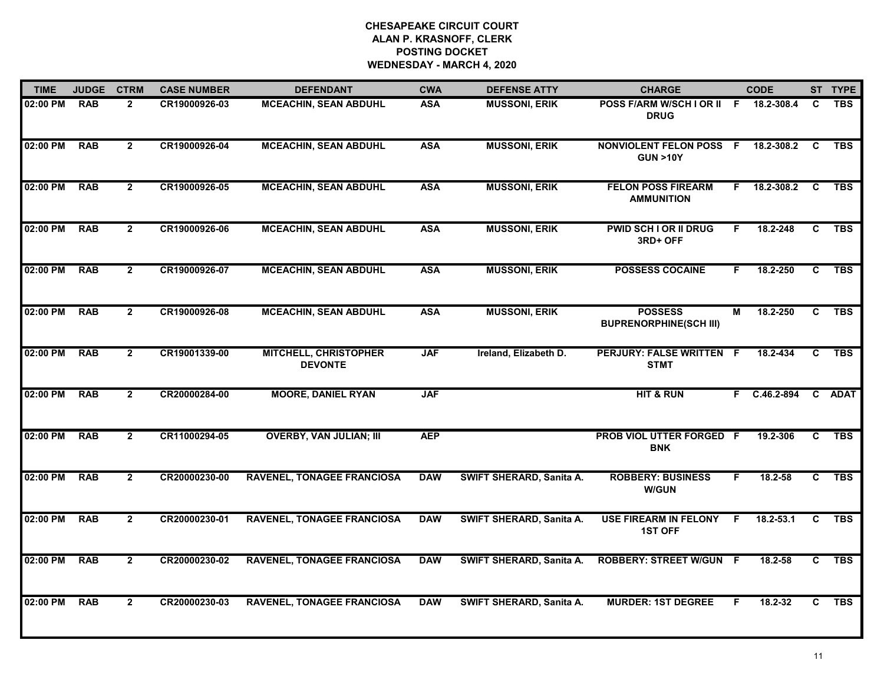| <b>TIME</b> | <b>JUDGE</b> | <b>CTRM</b>    | <b>CASE NUMBER</b> | <b>DEFENDANT</b>                               | <b>CWA</b> | <b>DEFENSE ATTY</b>      | <b>CHARGE</b>                                        |                | <b>CODE</b>   |                | ST TYPE    |
|-------------|--------------|----------------|--------------------|------------------------------------------------|------------|--------------------------|------------------------------------------------------|----------------|---------------|----------------|------------|
| 02:00 PM    | <b>RAB</b>   | $\mathbf{2}$   | CR19000926-03      | <b>MCEACHIN, SEAN ABDUHL</b>                   | <b>ASA</b> | <b>MUSSONI, ERIK</b>     | POSS F/ARM W/SCH I OR II F 18.2-308.4<br><b>DRUG</b> |                |               | C              | <b>TBS</b> |
| 02:00 PM    | <b>RAB</b>   | $\overline{2}$ | CR19000926-04      | <b>MCEACHIN, SEAN ABDUHL</b>                   | <b>ASA</b> | <b>MUSSONI, ERIK</b>     | <b>NONVIOLENT FELON POSS</b><br><b>GUN &gt;10Y</b>   | - F            | 18.2-308.2    | C              | <b>TBS</b> |
| 02:00 PM    | <b>RAB</b>   | $\overline{2}$ | CR19000926-05      | <b>MCEACHIN, SEAN ABDUHL</b>                   | <b>ASA</b> | <b>MUSSONI, ERIK</b>     | <b>FELON POSS FIREARM</b><br><b>AMMUNITION</b>       |                | F 18.2-308.2  | - C            | <b>TBS</b> |
| 02:00 PM    | <b>RAB</b>   | $\mathbf{2}$   | CR19000926-06      | <b>MCEACHIN, SEAN ABDUHL</b>                   | <b>ASA</b> | <b>MUSSONI, ERIK</b>     | PWID SCH I OR II DRUG<br>3RD+ OFF                    | F.             | 18.2-248      | C              | <b>TBS</b> |
| 02:00 PM    | <b>RAB</b>   | $\overline{2}$ | CR19000926-07      | <b>MCEACHIN, SEAN ABDUHL</b>                   | <b>ASA</b> | <b>MUSSONI, ERIK</b>     | <b>POSSESS COCAINE</b>                               | F.             | 18.2-250      | C              | <b>TBS</b> |
| 02:00 PM    | <b>RAB</b>   | $\overline{2}$ | CR19000926-08      | <b>MCEACHIN, SEAN ABDUHL</b>                   | <b>ASA</b> | <b>MUSSONI, ERIK</b>     | <b>POSSESS</b><br><b>BUPRENORPHINE(SCH III)</b>      | $\overline{M}$ | 18.2-250      | $\overline{c}$ | <b>TBS</b> |
| 02:00 PM    | <b>RAB</b>   | $\overline{2}$ | CR19001339-00      | <b>MITCHELL, CHRISTOPHER</b><br><b>DEVONTE</b> | <b>JAF</b> | Ireland, Elizabeth D.    | <b>PERJURY: FALSE WRITTEN F</b><br><b>STMT</b>       |                | 18.2-434      | $\overline{c}$ | <b>TBS</b> |
| 02:00 PM    | <b>RAB</b>   | $\mathbf{2}$   | CR20000284-00      | <b>MOORE, DANIEL RYAN</b>                      | <b>JAF</b> |                          | <b>HIT &amp; RUN</b>                                 |                | F C.46.2-894  |                | C ADAT     |
| 02:00 PM    | <b>RAB</b>   | $\mathbf{2}$   | CR11000294-05      | <b>OVERBY, VAN JULIAN; III</b>                 | <b>AEP</b> |                          | PROB VIOL UTTER FORGED F<br><b>BNK</b>               |                | 19.2-306      | $\mathbf{C}$   | <b>TBS</b> |
| 02:00 PM    | <b>RAB</b>   | $\mathbf{2}$   | CR20000230-00      | <b>RAVENEL, TONAGEE FRANCIOSA</b>              | <b>DAW</b> | SWIFT SHERARD, Sanita A. | <b>ROBBERY: BUSINESS</b><br><b>W/GUN</b>             | F.             | 18.2-58       |                | C TBS      |
| 02:00 PM    | <b>RAB</b>   | $\overline{2}$ | CR20000230-01      | <b>RAVENEL, TONAGEE FRANCIOSA</b>              | <b>DAW</b> | SWIFT SHERARD, Sanita A. | <b>USE FIREARM IN FELONY</b><br><b>1ST OFF</b>       | $\overline{F}$ | $18.2 - 53.1$ | $\overline{c}$ | <b>TBS</b> |
| 02:00 PM    | <b>RAB</b>   | $\overline{2}$ | CR20000230-02      | <b>RAVENEL, TONAGEE FRANCIOSA</b>              | <b>DAW</b> | SWIFT SHERARD, Sanita A. | <b>ROBBERY: STREET W/GUN F</b>                       |                | $18.2 - 58$   | C.             | <b>TBS</b> |
| 02:00 PM    | <b>RAB</b>   | $\mathbf{2}$   | CR20000230-03      | <b>RAVENEL, TONAGEE FRANCIOSA</b>              | <b>DAW</b> | SWIFT SHERARD, Sanita A. | <b>MURDER: 1ST DEGREE</b>                            | F              | 18.2-32       | C              | <b>TBS</b> |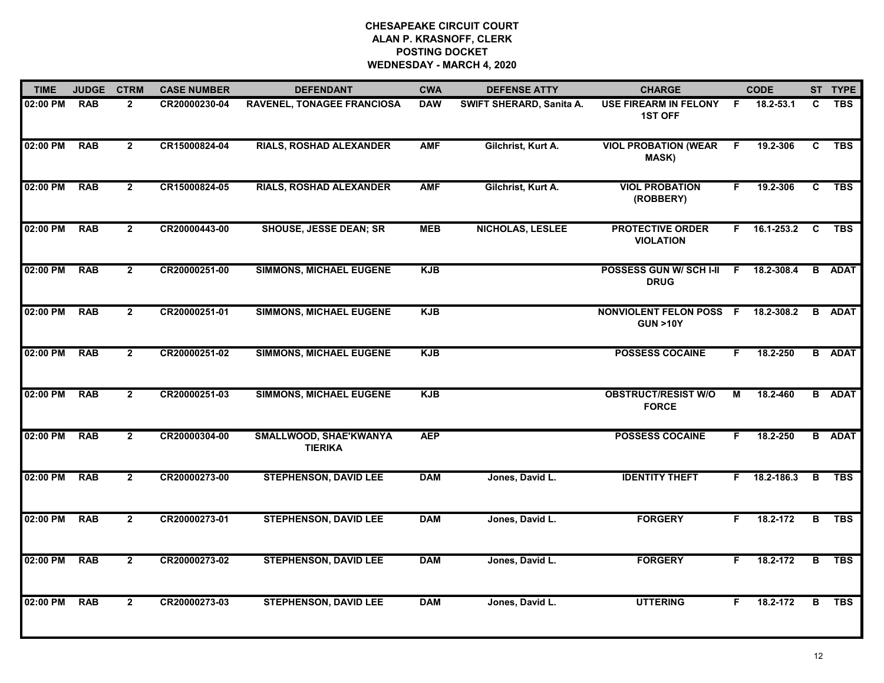| <b>TIME</b> | <b>JUDGE</b> | <b>CTRM</b>    | <b>CASE NUMBER</b> | <b>DEFENDANT</b>                         | <b>CWA</b> | <b>DEFENSE ATTY</b>      | <b>CHARGE</b>                                        |    | <b>CODE</b>        |                | ST TYPE       |
|-------------|--------------|----------------|--------------------|------------------------------------------|------------|--------------------------|------------------------------------------------------|----|--------------------|----------------|---------------|
| 02:00 PM    | <b>RAB</b>   | $\overline{2}$ | CR20000230-04      | <b>RAVENEL, TONAGEE FRANCIOSA</b>        | <b>DAW</b> | SWIFT SHERARD, Sanita A. | <b>USE FIREARM IN FELONY</b><br><b>1ST OFF</b>       | -F | 18.2-53.1          | C.             | <b>TBS</b>    |
| 02:00 PM    | <b>RAB</b>   | $\overline{2}$ | CR15000824-04      | <b>RIALS, ROSHAD ALEXANDER</b>           | <b>AMF</b> | Gilchrist, Kurt A.       | <b>VIOL PROBATION (WEAR</b><br>MASK)                 | -F | 19.2-306           | C              | <b>TBS</b>    |
| 02:00 PM    | <b>RAB</b>   | $\overline{2}$ | CR15000824-05      | <b>RIALS, ROSHAD ALEXANDER</b>           | <b>AMF</b> | Gilchrist, Kurt A.       | <b>VIOL PROBATION</b><br>(ROBBERY)                   | F. | 19.2-306           | $\overline{c}$ | <b>TBS</b>    |
| 02:00 PM    | <b>RAB</b>   | $2^{\circ}$    | CR20000443-00      | <b>SHOUSE, JESSE DEAN; SR</b>            | <b>MEB</b> | <b>NICHOLAS, LESLEE</b>  | <b>PROTECTIVE ORDER</b><br><b>VIOLATION</b>          |    | $F = 16.1 - 253.2$ | $\mathbf{C}$   | <b>TBS</b>    |
| 02:00 PM    | <b>RAB</b>   | $\overline{2}$ | CR20000251-00      | <b>SIMMONS, MICHAEL EUGENE</b>           | <b>KJB</b> |                          | POSSESS GUN W/ SCH I-II<br><b>DRUG</b>               |    | $F$ 18.2-308.4     |                | <b>B</b> ADAT |
| 02:00 PM    | <b>RAB</b>   | $\mathbf{2}$   | CR20000251-01      | <b>SIMMONS, MICHAEL EUGENE</b>           | <b>KJB</b> |                          | <b>NONVIOLENT FELON POSS F</b><br><b>GUN &gt;10Y</b> |    | 18.2-308.2         | B              | <b>ADAT</b>   |
| 02:00 PM    | <b>RAB</b>   | $\overline{2}$ | CR20000251-02      | <b>SIMMONS, MICHAEL EUGENE</b>           | <b>KJB</b> |                          | <b>POSSESS COCAINE</b>                               | F. | 18.2-250           |                | <b>B</b> ADAT |
| 02:00 PM    | <b>RAB</b>   | $\overline{2}$ | CR20000251-03      | <b>SIMMONS, MICHAEL EUGENE</b>           | <b>KJB</b> |                          | <b>OBSTRUCT/RESIST W/O</b><br><b>FORCE</b>           | М  | 18.2-460           |                | <b>B</b> ADAT |
| 02:00 PM    | <b>RAB</b>   | $\mathbf{2}$   | CR20000304-00      | SMALLWOOD, SHAE'KWANYA<br><b>TIERIKA</b> | <b>AEP</b> |                          | <b>POSSESS COCAINE</b>                               | F. | 18.2-250           |                | <b>B</b> ADAT |
| 02:00 PM    | <b>RAB</b>   | $\mathbf{2}$   | CR20000273-00      | <b>STEPHENSON, DAVID LEE</b>             | <b>DAM</b> | Jones, David L.          | <b>IDENTITY THEFT</b>                                | F. | 18.2-186.3         | В              | <b>TBS</b>    |
| 02:00 PM    | <b>RAB</b>   | $\mathbf{2}$   | CR20000273-01      | <b>STEPHENSON, DAVID LEE</b>             | <b>DAM</b> | Jones, David L.          | <b>FORGERY</b>                                       | F. | 18.2-172           | B              | <b>TBS</b>    |
| 02:00 PM    | <b>RAB</b>   | $\overline{2}$ | CR20000273-02      | <b>STEPHENSON, DAVID LEE</b>             | <b>DAM</b> | Jones, David L.          | <b>FORGERY</b>                                       | F. | 18.2-172           | B              | <b>TBS</b>    |
| 02:00 PM    | <b>RAB</b>   | $\overline{2}$ | CR20000273-03      | <b>STEPHENSON, DAVID LEE</b>             | <b>DAM</b> | Jones, David L.          | <b>UTTERING</b>                                      | F. | 18.2-172           | B              | <b>TBS</b>    |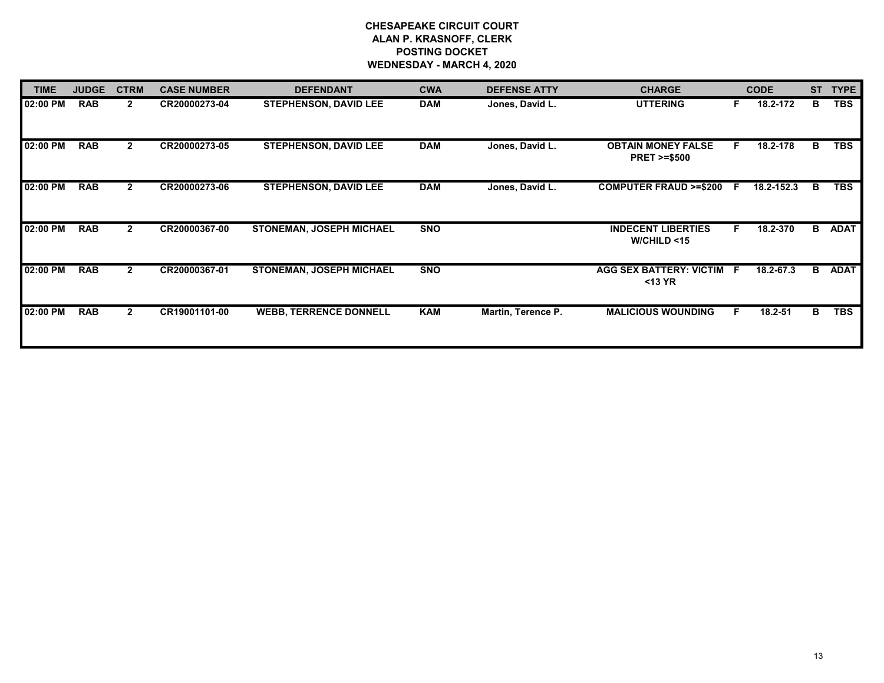| <b>TIME</b> | <b>JUDGE</b> | <b>CTRM</b>    | <b>CASE NUMBER</b> | <b>DEFENDANT</b>                | <b>CWA</b> | <b>DEFENSE ATTY</b> | <b>CHARGE</b>                                       |    | <b>CODE</b> | <b>ST</b> | <b>TYPE</b> |
|-------------|--------------|----------------|--------------------|---------------------------------|------------|---------------------|-----------------------------------------------------|----|-------------|-----------|-------------|
| 02:00 PM    | <b>RAB</b>   | $\mathbf{2}$   | CR20000273-04      | <b>STEPHENSON, DAVID LEE</b>    | <b>DAM</b> | Jones, David L.     | <b>UTTERING</b>                                     | F. | 18.2-172    | В         | <b>TBS</b>  |
| 02:00 PM    | <b>RAB</b>   | $\mathbf{2}$   | CR20000273-05      | <b>STEPHENSON, DAVID LEE</b>    | <b>DAM</b> | Jones, David L.     | <b>OBTAIN MONEY FALSE</b><br><b>PRET &gt;=\$500</b> | F. | 18.2-178    | В         | <b>TBS</b>  |
| 02:00 PM    | <b>RAB</b>   | $\mathbf{2}$   | CR20000273-06      | <b>STEPHENSON, DAVID LEE</b>    | <b>DAM</b> | Jones, David L.     | <b>COMPUTER FRAUD &gt;=\$200</b>                    | -F | 18.2-152.3  | В         | <b>TBS</b>  |
| 02:00 PM    | <b>RAB</b>   | $\overline{2}$ | CR20000367-00      | <b>STONEMAN, JOSEPH MICHAEL</b> | <b>SNO</b> |                     | <b>INDECENT LIBERTIES</b><br>W/CHILD < 15           | F. | 18.2-370    | в         | <b>ADAT</b> |
| 02:00 PM    | <b>RAB</b>   | $\mathbf{2}$   | CR20000367-01      | <b>STONEMAN, JOSEPH MICHAEL</b> | <b>SNO</b> |                     | <b>AGG SEX BATTERY: VICTIM</b><br>$<$ 13 YR         | -F | 18.2-67.3   | B         | <b>ADAT</b> |
| 02:00 PM    | <b>RAB</b>   | $\overline{2}$ | CR19001101-00      | <b>WEBB, TERRENCE DONNELL</b>   | <b>KAM</b> | Martin, Terence P.  | <b>MALICIOUS WOUNDING</b>                           | F. | 18.2-51     | B         | <b>TBS</b>  |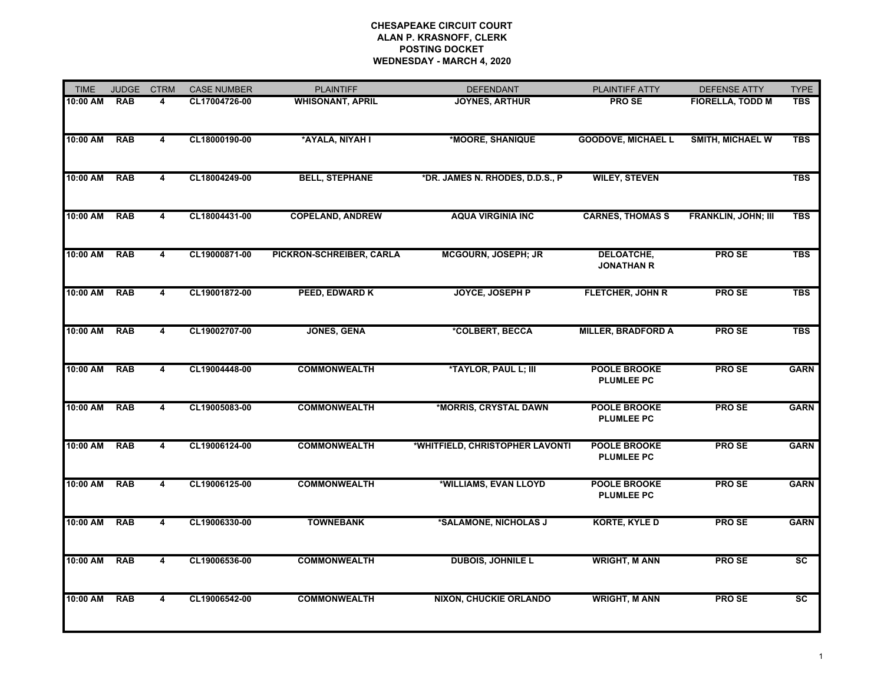| <b>TIME</b> | <b>JUDGE</b> | <b>CTRM</b>             | <b>CASE NUMBER</b> | <b>PLAINTIFF</b>         | <b>DEFENDANT</b>                | PLAINTIFF ATTY                           | <b>DEFENSE ATTY</b>        | <b>TYPE</b>     |
|-------------|--------------|-------------------------|--------------------|--------------------------|---------------------------------|------------------------------------------|----------------------------|-----------------|
| 10:00 AM    | <b>RAB</b>   | 4                       | CL17004726-00      | <b>WHISONANT, APRIL</b>  | <b>JOYNES, ARTHUR</b>           | <b>PROSE</b>                             | <b>FIORELLA, TODD M</b>    | <b>TBS</b>      |
| 10:00 AM    | <b>RAB</b>   | 4                       | CL18000190-00      | *AYALA, NIYAH I          | *MOORE, SHANIQUE                | <b>GOODOVE, MICHAEL L</b>                | <b>SMITH, MICHAEL W</b>    | <b>TBS</b>      |
| 10:00 AM    | <b>RAB</b>   | 4                       | CL18004249-00      | <b>BELL, STEPHANE</b>    | *DR. JAMES N. RHODES, D.D.S., P | <b>WILEY, STEVEN</b>                     |                            | <b>TBS</b>      |
| 10:00 AM    | <b>RAB</b>   | 4                       | CL18004431-00      | <b>COPELAND, ANDREW</b>  | <b>AQUA VIRGINIA INC</b>        | <b>CARNES, THOMAS S</b>                  | <b>FRANKLIN, JOHN; III</b> | <b>TBS</b>      |
| 10:00 AM    | <b>RAB</b>   | 4                       | CL19000871-00      | PICKRON-SCHREIBER, CARLA | <b>MCGOURN, JOSEPH; JR</b>      | DELOATCHE,<br><b>JONATHAN R</b>          | <b>PROSE</b>               | <b>TBS</b>      |
| 10:00 AM    | <b>RAB</b>   | 4                       | CL19001872-00      | PEED, EDWARD K           | JOYCE, JOSEPH P                 | FLETCHER, JOHN R                         | <b>PROSE</b>               | <b>TBS</b>      |
| 10:00 AM    | <b>RAB</b>   | 4                       | CL19002707-00      | <b>JONES, GENA</b>       | *COLBERT, BECCA                 | <b>MILLER, BRADFORD A</b>                | <b>PROSE</b>               | <b>TBS</b>      |
| 10:00 AM    | <b>RAB</b>   | $\overline{4}$          | CL19004448-00      | <b>COMMONWEALTH</b>      | *TAYLOR, PAUL L; III            | POOLE BROOKE<br><b>PLUMLEE PC</b>        | PRO SE                     | <b>GARN</b>     |
| 10:00 AM    | <b>RAB</b>   | $\overline{4}$          | CL19005083-00      | <b>COMMONWEALTH</b>      | *MORRIS, CRYSTAL DAWN           | <b>POOLE BROOKE</b><br><b>PLUMLEE PC</b> | <b>PROSE</b>               | <b>GARN</b>     |
| 10:00 AM    | <b>RAB</b>   | 4                       | CL19006124-00      | <b>COMMONWEALTH</b>      | *WHITFIELD, CHRISTOPHER LAVONTI | <b>POOLE BROOKE</b><br><b>PLUMLEE PC</b> | <b>PROSE</b>               | <b>GARN</b>     |
| 10:00 AM    | <b>RAB</b>   | 4                       | CL19006125-00      | <b>COMMONWEALTH</b>      | *WILLIAMS, EVAN LLOYD           | <b>POOLE BROOKE</b><br><b>PLUMLEE PC</b> | <b>PROSE</b>               | <b>GARN</b>     |
| 10:00 AM    | <b>RAB</b>   | $\overline{\mathbf{4}}$ | CL19006330-00      | <b>TOWNEBANK</b>         | *SALAMONE, NICHOLAS J           | <b>KORTE, KYLE D</b>                     | <b>PROSE</b>               | <b>GARN</b>     |
| 10:00 AM    | <b>RAB</b>   | 4                       | CL19006536-00      | <b>COMMONWEALTH</b>      | <b>DUBOIS, JOHNILE L</b>        | <b>WRIGHT, M ANN</b>                     | <b>PROSE</b>               | $\overline{sc}$ |
| 10:00 AM    | <b>RAB</b>   | 4                       | CL19006542-00      | <b>COMMONWEALTH</b>      | <b>NIXON, CHUCKIE ORLANDO</b>   | <b>WRIGHT, M ANN</b>                     | <b>PROSE</b>               | $\overline{sc}$ |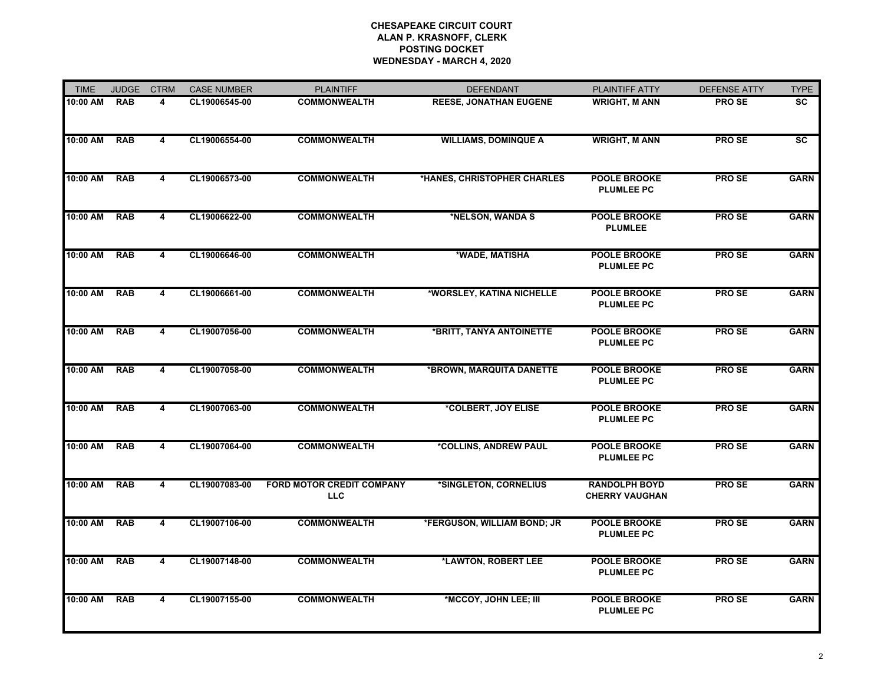| <b>TIME</b> | <b>JUDGE</b> | <b>CTRM</b>             | <b>CASE NUMBER</b> | <b>PLAINTIFF</b>                               | <b>DEFENDANT</b>              | PLAINTIFF ATTY                                | <b>DEFENSE ATTY</b> | <b>TYPE</b>     |
|-------------|--------------|-------------------------|--------------------|------------------------------------------------|-------------------------------|-----------------------------------------------|---------------------|-----------------|
| 10:00 AM    | <b>RAB</b>   | 4                       | CL19006545-00      | <b>COMMONWEALTH</b>                            | <b>REESE, JONATHAN EUGENE</b> | <b>WRIGHT, M ANN</b>                          | <b>PROSE</b>        | SC              |
| 10:00 AM    | <b>RAB</b>   | 4                       | CL19006554-00      | <b>COMMONWEALTH</b>                            | <b>WILLIAMS, DOMINQUE A</b>   | <b>WRIGHT, M ANN</b>                          | <b>PROSE</b>        | $\overline{sc}$ |
| 10:00 AM    | <b>RAB</b>   | 4                       | CL19006573-00      | <b>COMMONWEALTH</b>                            | *HANES, CHRISTOPHER CHARLES   | <b>POOLE BROOKE</b><br><b>PLUMLEE PC</b>      | <b>PROSE</b>        | <b>GARN</b>     |
| 10:00 AM    | <b>RAB</b>   | 4                       | CL19006622-00      | <b>COMMONWEALTH</b>                            | *NELSON, WANDA S              | <b>POOLE BROOKE</b><br><b>PLUMLEE</b>         | <b>PROSE</b>        | <b>GARN</b>     |
| 10:00 AM    | <b>RAB</b>   | 4                       | CL19006646-00      | <b>COMMONWEALTH</b>                            | *WADE, MATISHA                | <b>POOLE BROOKE</b><br><b>PLUMLEE PC</b>      | <b>PROSE</b>        | <b>GARN</b>     |
| 10:00 AM    | <b>RAB</b>   | 4                       | CL19006661-00      | <b>COMMONWEALTH</b>                            | *WORSLEY, KATINA NICHELLE     | <b>POOLE BROOKE</b><br><b>PLUMLEE PC</b>      | <b>PROSE</b>        | <b>GARN</b>     |
| 10:00 AM    | <b>RAB</b>   | 4                       | CL19007056-00      | <b>COMMONWEALTH</b>                            | *BRITT, TANYA ANTOINETTE      | <b>POOLE BROOKE</b><br><b>PLUMLEE PC</b>      | <b>PROSE</b>        | <b>GARN</b>     |
| 10:00 AM    | <b>RAB</b>   | $\overline{4}$          | CL19007058-00      | <b>COMMONWEALTH</b>                            | *BROWN, MARQUITA DANETTE      | <b>POOLE BROOKE</b><br><b>PLUMLEE PC</b>      | <b>PROSE</b>        | <b>GARN</b>     |
| 10:00 AM    | <b>RAB</b>   | 4                       | CL19007063-00      | <b>COMMONWEALTH</b>                            | *COLBERT, JOY ELISE           | POOLE BROOKE<br><b>PLUMLEE PC</b>             | <b>PROSE</b>        | <b>GARN</b>     |
| 10:00 AM    | <b>RAB</b>   | 4                       | CL19007064-00      | <b>COMMONWEALTH</b>                            | *COLLINS, ANDREW PAUL         | <b>POOLE BROOKE</b><br><b>PLUMLEE PC</b>      | <b>PROSE</b>        | <b>GARN</b>     |
| 10:00 AM    | <b>RAB</b>   | 4                       | CL19007083-00      | <b>FORD MOTOR CREDIT COMPANY</b><br><b>LLC</b> | *SINGLETON, CORNELIUS         | <b>RANDOLPH BOYD</b><br><b>CHERRY VAUGHAN</b> | <b>PROSE</b>        | <b>GARN</b>     |
| 10:00 AM    | <b>RAB</b>   | 4                       | CL19007106-00      | <b>COMMONWEALTH</b>                            | *FERGUSON, WILLIAM BOND; JR   | <b>POOLE BROOKE</b><br><b>PLUMLEE PC</b>      | <b>PROSE</b>        | <b>GARN</b>     |
| 10:00 AM    | <b>RAB</b>   | 4                       | CL19007148-00      | <b>COMMONWEALTH</b>                            | *LAWTON, ROBERT LEE           | <b>POOLE BROOKE</b><br><b>PLUMLEE PC</b>      | <b>PROSE</b>        | <b>GARN</b>     |
| 10:00 AM    | <b>RAB</b>   | $\overline{\mathbf{4}}$ | CL19007155-00      | <b>COMMONWEALTH</b>                            | *MCCOY, JOHN LEE; III         | <b>POOLE BROOKE</b><br><b>PLUMLEE PC</b>      | <b>PROSE</b>        | <b>GARN</b>     |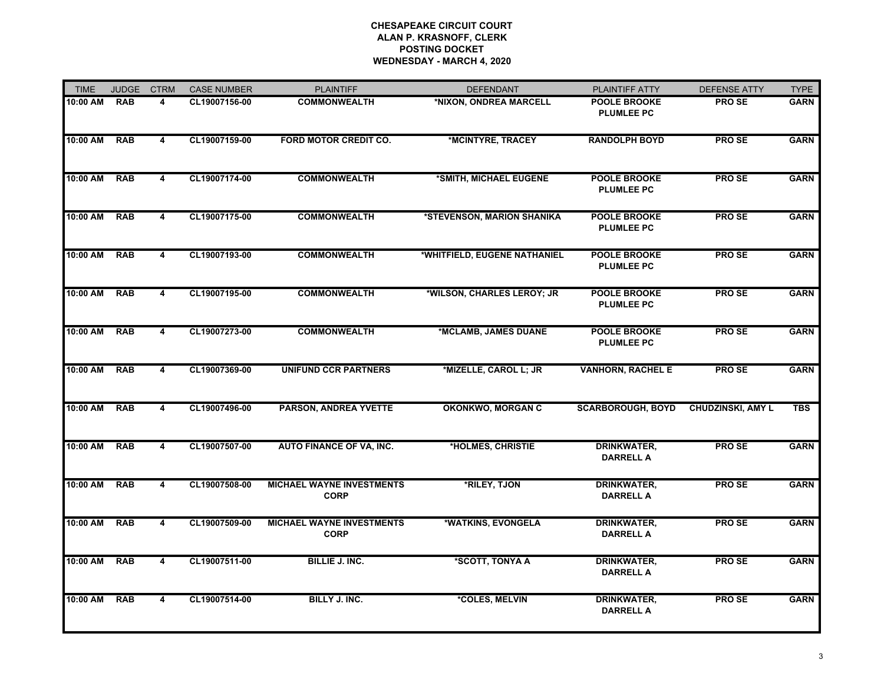| <b>TIME</b> | <b>JUDGE</b> | <b>CTRM</b>             | <b>CASE NUMBER</b> | <b>PLAINTIFF</b>                                | <b>DEFENDANT</b>             | PLAINTIFF ATTY                           | <b>DEFENSE ATTY</b>      | <b>TYPE</b> |
|-------------|--------------|-------------------------|--------------------|-------------------------------------------------|------------------------------|------------------------------------------|--------------------------|-------------|
| 10:00 AM    | <b>RAB</b>   | 4                       | CL19007156-00      | <b>COMMONWEALTH</b>                             | *NIXON, ONDREA MARCELL       | <b>POOLE BROOKE</b><br><b>PLUMLEE PC</b> | <b>PROSE</b>             | <b>GARN</b> |
| 10:00 AM    | <b>RAB</b>   | 4                       | CL19007159-00      | <b>FORD MOTOR CREDIT CO.</b>                    | *MCINTYRE, TRACEY            | <b>RANDOLPH BOYD</b>                     | <b>PROSE</b>             | <b>GARN</b> |
| 10:00 AM    | <b>RAB</b>   | $\overline{\mathbf{4}}$ | CL19007174-00      | <b>COMMONWEALTH</b>                             | *SMITH, MICHAEL EUGENE       | <b>POOLE BROOKE</b><br><b>PLUMLEE PC</b> | <b>PROSE</b>             | <b>GARN</b> |
| 10:00 AM    | <b>RAB</b>   | $\overline{4}$          | CL19007175-00      | <b>COMMONWEALTH</b>                             | *STEVENSON, MARION SHANIKA   | <b>POOLE BROOKE</b><br><b>PLUMLEE PC</b> | <b>PROSE</b>             | <b>GARN</b> |
| 10:00 AM    | <b>RAB</b>   | 4                       | CL19007193-00      | <b>COMMONWEALTH</b>                             | *WHITFIELD, EUGENE NATHANIEL | <b>POOLE BROOKE</b><br><b>PLUMLEE PC</b> | PRO SE                   | <b>GARN</b> |
| 10:00 AM    | <b>RAB</b>   | 4                       | CL19007195-00      | <b>COMMONWEALTH</b>                             | *WILSON, CHARLES LEROY; JR   | <b>POOLE BROOKE</b><br><b>PLUMLEE PC</b> | <b>PROSE</b>             | <b>GARN</b> |
| 10:00 AM    | <b>RAB</b>   | $\overline{\mathbf{4}}$ | CL19007273-00      | <b>COMMONWEALTH</b>                             | *MCLAMB, JAMES DUANE         | <b>POOLE BROOKE</b><br><b>PLUMLEE PC</b> | <b>PROSE</b>             | <b>GARN</b> |
| 10:00 AM    | <b>RAB</b>   | 4                       | CL19007369-00      | <b>UNIFUND CCR PARTNERS</b>                     | *MIZELLE, CAROL L; JR        | <b>VANHORN, RACHEL E</b>                 | <b>PROSE</b>             | <b>GARN</b> |
| 10:00 AM    | <b>RAB</b>   | $\overline{4}$          | CL19007496-00      | <b>PARSON, ANDREA YVETTE</b>                    | <b>OKONKWO, MORGAN C</b>     | <b>SCARBOROUGH, BOYD</b>                 | <b>CHUDZINSKI, AMY L</b> | <b>TBS</b>  |
| 10:00 AM    | <b>RAB</b>   | 4                       | CL19007507-00      | <b>AUTO FINANCE OF VA, INC.</b>                 | *HOLMES, CHRISTIE            | <b>DRINKWATER,</b><br><b>DARRELL A</b>   | <b>PROSE</b>             | <b>GARN</b> |
| 10:00 AM    | <b>RAB</b>   | 4                       | CL19007508-00      | <b>MICHAEL WAYNE INVESTMENTS</b><br><b>CORP</b> | *RILEY, TJON                 | <b>DRINKWATER,</b><br><b>DARRELL A</b>   | PRO SE                   | <b>GARN</b> |
| 10:00 AM    | <b>RAB</b>   | $\overline{\mathbf{4}}$ | CL19007509-00      | <b>MICHAEL WAYNE INVESTMENTS</b><br><b>CORP</b> | *WATKINS, EVONGELA           | <b>DRINKWATER,</b><br><b>DARRELL A</b>   | <b>PROSE</b>             | <b>GARN</b> |
| 10:00 AM    | <b>RAB</b>   | 4                       | CL19007511-00      | <b>BILLIE J. INC.</b>                           | *SCOTT, TONYA A              | <b>DRINKWATER,</b><br><b>DARRELL A</b>   | <b>PROSE</b>             | <b>GARN</b> |
| 10:00 AM    | <b>RAB</b>   | $\overline{\mathbf{4}}$ | CL19007514-00      | <b>BILLY J. INC.</b>                            | *COLES, MELVIN               | <b>DRINKWATER,</b><br><b>DARRELL A</b>   | <b>PROSE</b>             | <b>GARN</b> |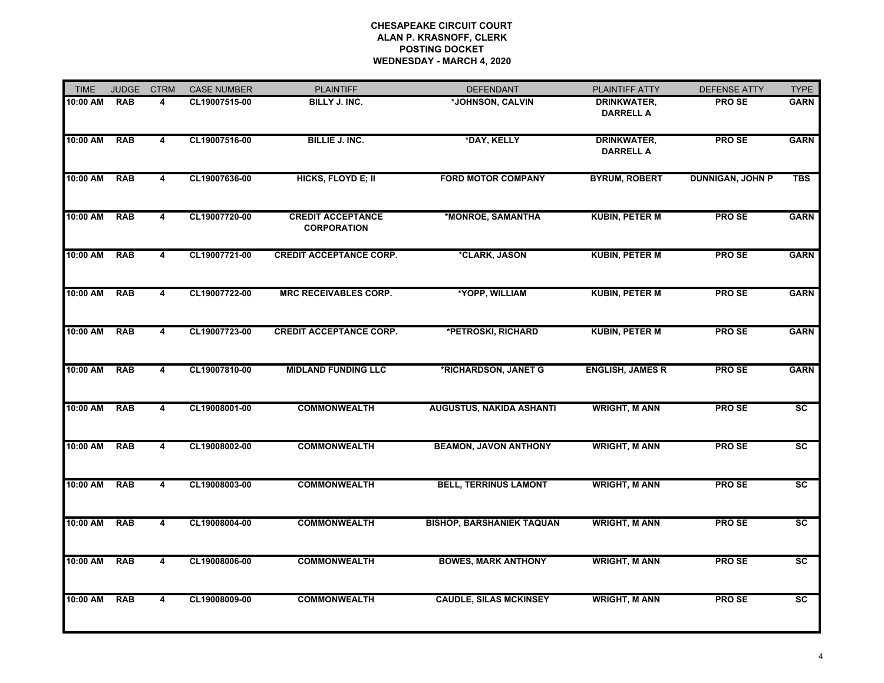| <b>TIME</b> | <b>JUDGE</b> | <b>CTRM</b>             | <b>CASE NUMBER</b> | <b>PLAINTIFF</b>                               | <b>DEFENDANT</b>                 | PLAINTIFF ATTY                         | <b>DEFENSE ATTY</b>     | <b>TYPE</b>            |
|-------------|--------------|-------------------------|--------------------|------------------------------------------------|----------------------------------|----------------------------------------|-------------------------|------------------------|
| 10:00 AM    | <b>RAB</b>   | 4                       | CL19007515-00      | BILLY J. INC.                                  | *JOHNSON, CALVIN                 | DRINKWATER,<br><b>DARRELL A</b>        | PRO SE                  | <b>GARN</b>            |
| 10:00 AM    | <b>RAB</b>   | $\overline{\mathbf{4}}$ | CL19007516-00      | <b>BILLIE J. INC.</b>                          | *DAY, KELLY                      | <b>DRINKWATER,</b><br><b>DARRELL A</b> | <b>PROSE</b>            | <b>GARN</b>            |
| 10:00 AM    | <b>RAB</b>   | $\overline{\mathbf{4}}$ | CL19007636-00      | HICKS, FLOYD E; II                             | <b>FORD MOTOR COMPANY</b>        | <b>BYRUM, ROBERT</b>                   | <b>DUNNIGAN, JOHN P</b> | <b>TBS</b>             |
| 10:00 AM    | <b>RAB</b>   | 4                       | CL19007720-00      | <b>CREDIT ACCEPTANCE</b><br><b>CORPORATION</b> | *MONROE, SAMANTHA                | <b>KUBIN, PETER M</b>                  | <b>PROSE</b>            | <b>GARN</b>            |
| 10:00 AM    | <b>RAB</b>   | 4                       | CL19007721-00      | <b>CREDIT ACCEPTANCE CORP.</b>                 | *CLARK, JASON                    | <b>KUBIN, PETER M</b>                  | <b>PROSE</b>            | <b>GARN</b>            |
| 10:00 AM    | <b>RAB</b>   | 4                       | CL19007722-00      | <b>MRC RECEIVABLES CORP.</b>                   | *YOPP, WILLIAM                   | <b>KUBIN, PETER M</b>                  | <b>PROSE</b>            | <b>GARN</b>            |
| 10:00 AM    | <b>RAB</b>   | $\overline{4}$          | CL19007723-00      | <b>CREDIT ACCEPTANCE CORP.</b>                 | *PETROSKI, RICHARD               | <b>KUBIN, PETER M</b>                  | <b>PROSE</b>            | <b>GARN</b>            |
| 10:00 AM    | <b>RAB</b>   | 4                       | CL19007810-00      | <b>MIDLAND FUNDING LLC</b>                     | *RICHARDSON, JANET G             | <b>ENGLISH, JAMES R</b>                | <b>PROSE</b>            | <b>GARN</b>            |
| 10:00 AM    | <b>RAB</b>   | 4                       | CL19008001-00      | <b>COMMONWEALTH</b>                            | <b>AUGUSTUS, NAKIDA ASHANTI</b>  | <b>WRIGHT, M ANN</b>                   | <b>PROSE</b>            | $\overline{\text{sc}}$ |
| 10:00 AM    | <b>RAB</b>   | 4                       | CL19008002-00      | <b>COMMONWEALTH</b>                            | <b>BEAMON, JAVON ANTHONY</b>     | <b>WRIGHT, M ANN</b>                   | <b>PROSE</b>            | <b>SC</b>              |
| 10:00 AM    | <b>RAB</b>   | 4                       | CL19008003-00      | <b>COMMONWEALTH</b>                            | <b>BELL, TERRINUS LAMONT</b>     | <b>WRIGHT, M ANN</b>                   | <b>PROSE</b>            | SC                     |
| 10:00 AM    | <b>RAB</b>   | $\overline{4}$          | CL19008004-00      | <b>COMMONWEALTH</b>                            | <b>BISHOP, BARSHANIEK TAQUAN</b> | <b>WRIGHT, M ANN</b>                   | <b>PROSE</b>            | $\overline{\text{sc}}$ |
| 10:00 AM    | <b>RAB</b>   | 4                       | CL19008006-00      | <b>COMMONWEALTH</b>                            | <b>BOWES, MARK ANTHONY</b>       | <b>WRIGHT, M ANN</b>                   | <b>PROSE</b>            | $\overline{\text{sc}}$ |
| 10:00 AM    | <b>RAB</b>   | 4                       | CL19008009-00      | <b>COMMONWEALTH</b>                            | <b>CAUDLE, SILAS MCKINSEY</b>    | <b>WRIGHT, M ANN</b>                   | <b>PROSE</b>            | <b>SC</b>              |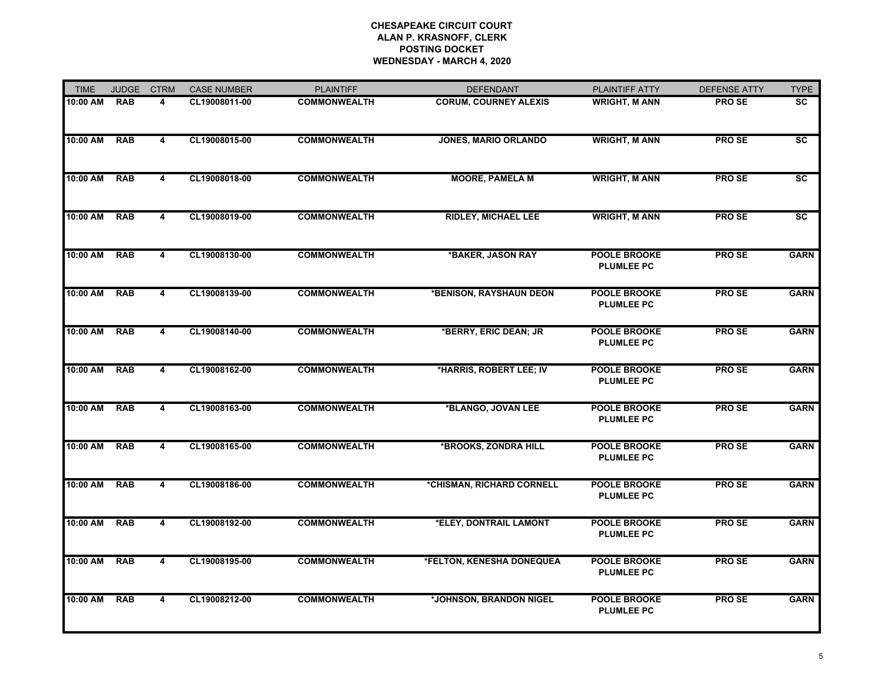| <b>TIME</b> | <b>JUDGE</b> | <b>CTRM</b>             | <b>CASE NUMBER</b> | <b>PLAINTIFF</b>    | <b>DEFENDANT</b>             | PLAINTIFF ATTY                           | <b>DEFENSE ATTY</b> | <b>TYPE</b>            |
|-------------|--------------|-------------------------|--------------------|---------------------|------------------------------|------------------------------------------|---------------------|------------------------|
| 10:00 AM    | <b>RAB</b>   | 4                       | CL19008011-00      | <b>COMMONWEALTH</b> | <b>CORUM, COURNEY ALEXIS</b> | <b>WRIGHT, M ANN</b>                     | <b>PROSE</b>        | <b>SC</b>              |
| 10:00 AM    | <b>RAB</b>   | 4                       | CL19008015-00      | <b>COMMONWEALTH</b> | JONES, MARIO ORLANDO         | <b>WRIGHT, M ANN</b>                     | <b>PROSE</b>        | $\overline{\text{sc}}$ |
| 10:00 AM    | <b>RAB</b>   | 4                       | CL19008018-00      | <b>COMMONWEALTH</b> | <b>MOORE, PAMELA M</b>       | <b>WRIGHT, M ANN</b>                     | <b>PRO SE</b>       | <b>SC</b>              |
| 10:00 AM    | <b>RAB</b>   | 4                       | CL19008019-00      | <b>COMMONWEALTH</b> | <b>RIDLEY, MICHAEL LEE</b>   | <b>WRIGHT, M ANN</b>                     | <b>PROSE</b>        | $\overline{\text{sc}}$ |
| 10:00 AM    | <b>RAB</b>   | 4                       | CL19008130-00      | <b>COMMONWEALTH</b> | *BAKER, JASON RAY            | <b>POOLE BROOKE</b><br><b>PLUMLEE PC</b> | <b>PROSE</b>        | <b>GARN</b>            |
| 10:00 AM    | <b>RAB</b>   | 4                       | CL19008139-00      | <b>COMMONWEALTH</b> | *BENISON, RAYSHAUN DEON      | <b>POOLE BROOKE</b><br><b>PLUMLEE PC</b> | <b>PROSE</b>        | <b>GARN</b>            |
| 10:00 AM    | <b>RAB</b>   | $\overline{\mathbf{4}}$ | CL19008140-00      | <b>COMMONWEALTH</b> | *BERRY, ERIC DEAN; JR        | <b>POOLE BROOKE</b><br><b>PLUMLEE PC</b> | <b>PROSE</b>        | <b>GARN</b>            |
| 10:00 AM    | <b>RAB</b>   | $\overline{4}$          | CL19008162-00      | <b>COMMONWEALTH</b> | *HARRIS, ROBERT LEE; IV      | <b>POOLE BROOKE</b><br><b>PLUMLEE PC</b> | <b>PROSE</b>        | <b>GARN</b>            |
| 10:00 AM    | <b>RAB</b>   | $\overline{\mathbf{4}}$ | CL19008163-00      | <b>COMMONWEALTH</b> | *BLANGO, JOVAN LEE           | <b>POOLE BROOKE</b><br><b>PLUMLEE PC</b> | <b>PROSE</b>        | <b>GARN</b>            |
| 10:00 AM    | <b>RAB</b>   | 4                       | CL19008165-00      | <b>COMMONWEALTH</b> | *BROOKS, ZONDRA HILL         | <b>POOLE BROOKE</b><br><b>PLUMLEE PC</b> | <b>PROSE</b>        | <b>GARN</b>            |
| 10:00 AM    | <b>RAB</b>   | 4                       | CL19008186-00      | <b>COMMONWEALTH</b> | *CHISMAN, RICHARD CORNELL    | <b>POOLE BROOKE</b><br><b>PLUMLEE PC</b> | <b>PROSE</b>        | <b>GARN</b>            |
| 10:00 AM    | <b>RAB</b>   | $\overline{\mathbf{4}}$ | CL19008192-00      | <b>COMMONWEALTH</b> | *ELEY, DONTRAIL LAMONT       | <b>POOLE BROOKE</b><br><b>PLUMLEE PC</b> | <b>PROSE</b>        | <b>GARN</b>            |
| 10:00 AM    | <b>RAB</b>   | 4                       | CL19008195-00      | <b>COMMONWEALTH</b> | *FELTON, KENESHA DONEQUEA    | <b>POOLE BROOKE</b><br><b>PLUMLEE PC</b> | <b>PROSE</b>        | <b>GARN</b>            |
| 10:00 AM    | <b>RAB</b>   | $\overline{4}$          | CL19008212-00      | <b>COMMONWEALTH</b> | *JOHNSON, BRANDON NIGEL      | <b>POOLE BROOKE</b><br><b>PLUMLEE PC</b> | <b>PROSE</b>        | <b>GARN</b>            |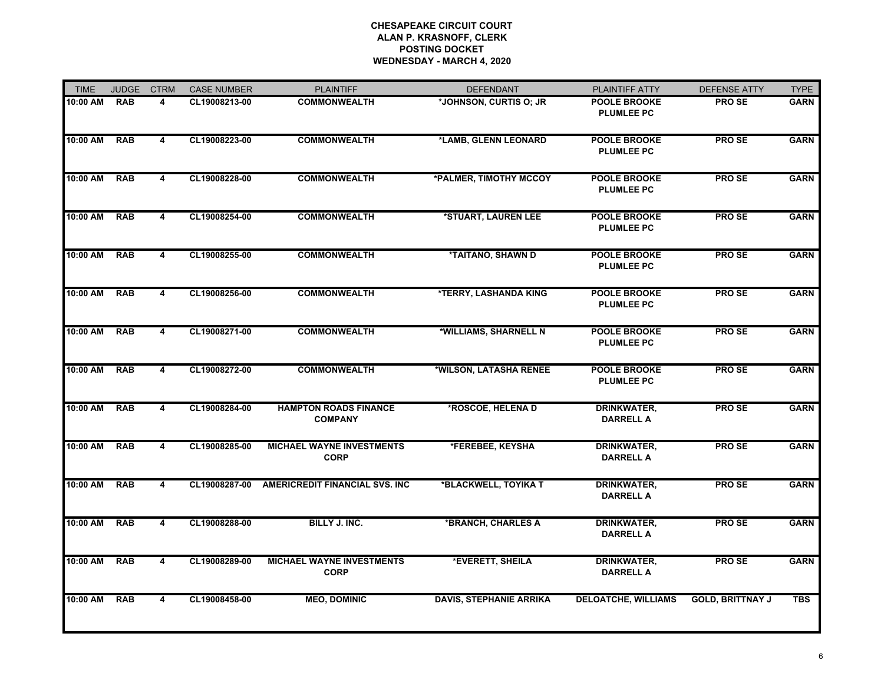| <b>TIME</b> | <b>JUDGE</b> | <b>CTRM</b>             | <b>CASE NUMBER</b> | <b>PLAINTIFF</b>                                | <b>DEFENDANT</b>               | PLAINTIFF ATTY                           | <b>DEFENSE ATTY</b>     | <b>TYPE</b> |
|-------------|--------------|-------------------------|--------------------|-------------------------------------------------|--------------------------------|------------------------------------------|-------------------------|-------------|
| 10:00 AM    | <b>RAB</b>   | 4                       | CL19008213-00      | <b>COMMONWEALTH</b>                             | *JOHNSON, CURTIS O; JR         | <b>POOLE BROOKE</b><br><b>PLUMLEE PC</b> | <b>PROSE</b>            | <b>GARN</b> |
| 10:00 AM    | <b>RAB</b>   | 4                       | CL19008223-00      | <b>COMMONWEALTH</b>                             | *LAMB, GLENN LEONARD           | <b>POOLE BROOKE</b><br><b>PLUMLEE PC</b> | <b>PROSE</b>            | <b>GARN</b> |
| 10:00 AM    | <b>RAB</b>   | $\overline{4}$          | CL19008228-00      | <b>COMMONWEALTH</b>                             | *PALMER, TIMOTHY MCCOY         | <b>POOLE BROOKE</b><br><b>PLUMLEE PC</b> | <b>PROSE</b>            | <b>GARN</b> |
| 10:00 AM    | <b>RAB</b>   | $\overline{4}$          | CL19008254-00      | <b>COMMONWEALTH</b>                             | *STUART, LAUREN LEE            | <b>POOLE BROOKE</b><br><b>PLUMLEE PC</b> | <b>PROSE</b>            | <b>GARN</b> |
| 10:00 AM    | <b>RAB</b>   | $\overline{\mathbf{4}}$ | CL19008255-00      | <b>COMMONWEALTH</b>                             | *TAITANO, SHAWN D              | <b>POOLE BROOKE</b><br><b>PLUMLEE PC</b> | <b>PROSE</b>            | <b>GARN</b> |
| 10:00 AM    | RAB          | 4                       | CL19008256-00      | <b>COMMONWEALTH</b>                             | *TERRY, LASHANDA KING          | <b>POOLE BROOKE</b><br><b>PLUMLEE PC</b> | <b>PROSE</b>            | <b>GARN</b> |
| 10:00 AM    | <b>RAB</b>   | $\overline{4}$          | CL19008271-00      | <b>COMMONWEALTH</b>                             | *WILLIAMS, SHARNELL N          | <b>POOLE BROOKE</b><br><b>PLUMLEE PC</b> | <b>PROSE</b>            | <b>GARN</b> |
| 10:00 AM    | <b>RAB</b>   | 4                       | CL19008272-00      | <b>COMMONWEALTH</b>                             | *WILSON, LATASHA RENEE         | <b>POOLE BROOKE</b><br><b>PLUMLEE PC</b> | <b>PROSE</b>            | <b>GARN</b> |
| 10:00 AM    | <b>RAB</b>   | $\overline{4}$          | CL19008284-00      | <b>HAMPTON ROADS FINANCE</b><br><b>COMPANY</b>  | *ROSCOE, HELENA D              | <b>DRINKWATER,</b><br><b>DARRELL A</b>   | <b>PROSE</b>            | <b>GARN</b> |
| 10:00 AM    | <b>RAB</b>   | $\overline{\mathbf{4}}$ | CL19008285-00      | <b>MICHAEL WAYNE INVESTMENTS</b><br><b>CORP</b> | *FEREBEE, KEYSHA               | <b>DRINKWATER,</b><br><b>DARRELL A</b>   | <b>PROSE</b>            | <b>GARN</b> |
| 10:00 AM    | <b>RAB</b>   | 4                       | CL19008287-00      | AMERICREDIT FINANCIAL SVS. INC                  | *BLACKWELL, TOYIKA T           | DRINKWATER,<br><b>DARRELL A</b>          | <b>PROSE</b>            | <b>GARN</b> |
| 10:00 AM    | <b>RAB</b>   | 4                       | CL19008288-00      | BILLY J. INC.                                   | *BRANCH, CHARLES A             | <b>DRINKWATER,</b><br><b>DARRELL A</b>   | <b>PROSE</b>            | <b>GARN</b> |
| 10:00 AM    | <b>RAB</b>   | 4                       | CL19008289-00      | <b>MICHAEL WAYNE INVESTMENTS</b><br><b>CORP</b> | *EVERETT, SHEILA               | DRINKWATER,<br><b>DARRELL A</b>          | <b>PROSE</b>            | <b>GARN</b> |
| 10:00 AM    | <b>RAB</b>   | 4                       | CL19008458-00      | <b>MEO, DOMINIC</b>                             | <b>DAVIS, STEPHANIE ARRIKA</b> | <b>DELOATCHE, WILLIAMS</b>               | <b>GOLD, BRITTNAY J</b> | <b>TBS</b>  |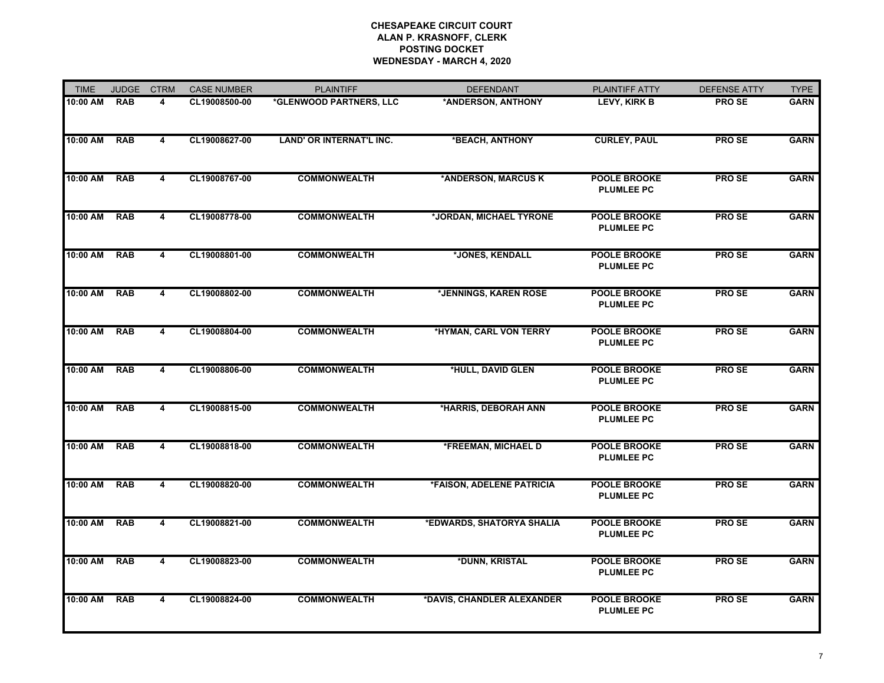| <b>TIME</b> | <b>JUDGE</b> | <b>CTRM</b>             | <b>CASE NUMBER</b> | <b>PLAINTIFF</b>         | <b>DEFENDANT</b>           | PLAINTIFF ATTY                           | <b>DEFENSE ATTY</b> | <b>TYPE</b> |
|-------------|--------------|-------------------------|--------------------|--------------------------|----------------------------|------------------------------------------|---------------------|-------------|
| 10:00 AM    | <b>RAB</b>   | 4                       | CL19008500-00      | *GLENWOOD PARTNERS, LLC  | *ANDERSON, ANTHONY         | LEVY, KIRK B                             | <b>PROSE</b>        | <b>GARN</b> |
| $10:00$ AM  | <b>RAB</b>   | 4                       | CL19008627-00      | LAND' OR INTERNAT'L INC. | *BEACH, ANTHONY            | <b>CURLEY, PAUL</b>                      | <b>PROSE</b>        | <b>GARN</b> |
| 10:00 AM    | <b>RAB</b>   | 4                       | CL19008767-00      | <b>COMMONWEALTH</b>      | *ANDERSON, MARCUS K        | <b>POOLE BROOKE</b><br><b>PLUMLEE PC</b> | <b>PROSE</b>        | <b>GARN</b> |
| 10:00 AM    | <b>RAB</b>   | $\overline{\mathbf{4}}$ | CL19008778-00      | <b>COMMONWEALTH</b>      | *JORDAN, MICHAEL TYRONE    | <b>POOLE BROOKE</b><br><b>PLUMLEE PC</b> | <b>PROSE</b>        | <b>GARN</b> |
| 10:00 AM    | <b>RAB</b>   | 4                       | CL19008801-00      | <b>COMMONWEALTH</b>      | *JONES, KENDALL            | <b>POOLE BROOKE</b><br><b>PLUMLEE PC</b> | PRO SE              | <b>GARN</b> |
| 10:00 AM    | <b>RAB</b>   | $\overline{4}$          | CL19008802-00      | <b>COMMONWEALTH</b>      | *JENNINGS, KAREN ROSE      | <b>POOLE BROOKE</b><br><b>PLUMLEE PC</b> | <b>PROSE</b>        | <b>GARN</b> |
| 10:00 AM    | <b>RAB</b>   | 4                       | CL19008804-00      | <b>COMMONWEALTH</b>      | *HYMAN, CARL VON TERRY     | <b>POOLE BROOKE</b><br><b>PLUMLEE PC</b> | <b>PROSE</b>        | <b>GARN</b> |
| 10:00 AM    | <b>RAB</b>   | 4                       | CL19008806-00      | <b>COMMONWEALTH</b>      | *HULL, DAVID GLEN          | <b>POOLE BROOKE</b><br><b>PLUMLEE PC</b> | <b>PROSE</b>        | <b>GARN</b> |
| 10:00 AM    | <b>RAB</b>   | $\overline{4}$          | CL19008815-00      | <b>COMMONWEALTH</b>      | *HARRIS, DEBORAH ANN       | <b>POOLE BROOKE</b><br><b>PLUMLEE PC</b> | <b>PROSE</b>        | <b>GARN</b> |
| 10:00 AM    | <b>RAB</b>   | 4                       | CL19008818-00      | <b>COMMONWEALTH</b>      | *FREEMAN, MICHAEL D        | <b>POOLE BROOKE</b><br><b>PLUMLEE PC</b> | <b>PROSE</b>        | <b>GARN</b> |
| 10:00 AM    | <b>RAB</b>   | 4                       | CL19008820-00      | <b>COMMONWEALTH</b>      | *FAISON, ADELENE PATRICIA  | <b>POOLE BROOKE</b><br><b>PLUMLEE PC</b> | <b>PROSE</b>        | <b>GARN</b> |
| 10:00 AM    | <b>RAB</b>   | $\overline{\mathbf{4}}$ | CL19008821-00      | <b>COMMONWEALTH</b>      | *EDWARDS, SHATORYA SHALIA  | <b>POOLE BROOKE</b><br><b>PLUMLEE PC</b> | <b>PROSE</b>        | <b>GARN</b> |
| 10:00 AM    | <b>RAB</b>   | $\overline{\mathbf{4}}$ | CL19008823-00      | <b>COMMONWEALTH</b>      | *DUNN, KRISTAL             | <b>POOLE BROOKE</b><br><b>PLUMLEE PC</b> | <b>PROSE</b>        | <b>GARN</b> |
| 10:00 AM    | <b>RAB</b>   | 4                       | CL19008824-00      | <b>COMMONWEALTH</b>      | *DAVIS, CHANDLER ALEXANDER | <b>POOLE BROOKE</b><br><b>PLUMLEE PC</b> | <b>PROSE</b>        | <b>GARN</b> |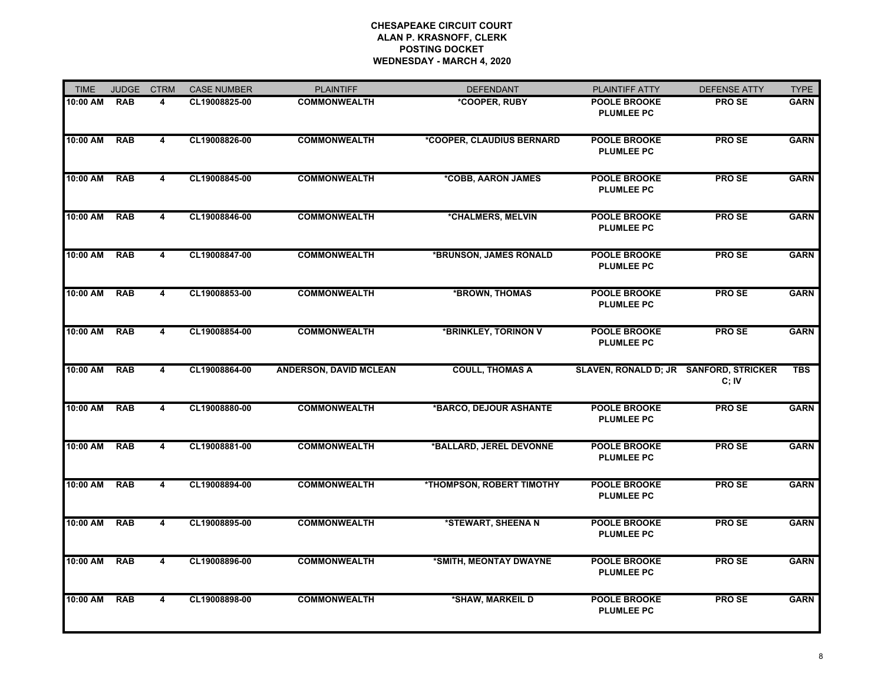| <b>TIME</b> | <b>JUDGE</b> | <b>CTRM</b>             | <b>CASE NUMBER</b> | <b>PLAINTIFF</b>              | <b>DEFENDANT</b>          | PLAINTIFF ATTY                           | <b>DEFENSE ATTY</b> | <b>TYPE</b> |
|-------------|--------------|-------------------------|--------------------|-------------------------------|---------------------------|------------------------------------------|---------------------|-------------|
| 10:00 AM    | <b>RAB</b>   | 4                       | CL19008825-00      | <b>COMMONWEALTH</b>           | *COOPER, RUBY             | <b>POOLE BROOKE</b><br><b>PLUMLEE PC</b> | <b>PROSE</b>        | <b>GARN</b> |
| 10:00 AM    | <b>RAB</b>   | 4                       | CL19008826-00      | <b>COMMONWEALTH</b>           | *COOPER, CLAUDIUS BERNARD | <b>POOLE BROOKE</b><br><b>PLUMLEE PC</b> | <b>PROSE</b>        | <b>GARN</b> |
| 10:00 AM    | <b>RAB</b>   | 4                       | CL19008845-00      | <b>COMMONWEALTH</b>           | *COBB, AARON JAMES        | <b>POOLE BROOKE</b><br><b>PLUMLEE PC</b> | <b>PROSE</b>        | <b>GARN</b> |
| 10:00 AM    | <b>RAB</b>   | $\overline{4}$          | CL19008846-00      | <b>COMMONWEALTH</b>           | *CHALMERS, MELVIN         | <b>POOLE BROOKE</b><br><b>PLUMLEE PC</b> | <b>PROSE</b>        | <b>GARN</b> |
| 10:00 AM    | <b>RAB</b>   | 4                       | CL19008847-00      | <b>COMMONWEALTH</b>           | *BRUNSON, JAMES RONALD    | <b>POOLE BROOKE</b><br><b>PLUMLEE PC</b> | <b>PROSE</b>        | <b>GARN</b> |
| 10:00 AM    | <b>RAB</b>   | 4                       | CL19008853-00      | <b>COMMONWEALTH</b>           | *BROWN, THOMAS            | <b>POOLE BROOKE</b><br><b>PLUMLEE PC</b> | <b>PROSE</b>        | <b>GARN</b> |
| 10:00 AM    | <b>RAB</b>   | 4                       | CL19008854-00      | <b>COMMONWEALTH</b>           | *BRINKLEY, TORINON V      | <b>POOLE BROOKE</b><br><b>PLUMLEE PC</b> | <b>PROSE</b>        | <b>GARN</b> |
| 10:00 AM    | <b>RAB</b>   | 4                       | CL19008864-00      | <b>ANDERSON, DAVID MCLEAN</b> | <b>COULL, THOMAS A</b>    | SLAVEN, RONALD D; JR SANFORD, STRICKER   | C;IV                | <b>TBS</b>  |
| 10:00 AM    | <b>RAB</b>   | 4                       | CL19008880-00      | <b>COMMONWEALTH</b>           | *BARCO, DEJOUR ASHANTE    | <b>POOLE BROOKE</b><br><b>PLUMLEE PC</b> | <b>PROSE</b>        | <b>GARN</b> |
| 10:00 AM    | <b>RAB</b>   | $\overline{4}$          | CL19008881-00      | <b>COMMONWEALTH</b>           | *BALLARD, JEREL DEVONNE   | <b>POOLE BROOKE</b><br><b>PLUMLEE PC</b> | <b>PROSE</b>        | <b>GARN</b> |
| 10:00 AM    | RAB          | 4                       | CL19008894-00      | <b>COMMONWEALTH</b>           | *THOMPSON, ROBERT TIMOTHY | <b>POOLE BROOKE</b><br><b>PLUMLEE PC</b> | <b>PROSE</b>        | <b>GARN</b> |
| 10:00 AM    | <b>RAB</b>   | $\overline{\mathbf{4}}$ | CL19008895-00      | <b>COMMONWEALTH</b>           | *STEWART, SHEENA N        | <b>POOLE BROOKE</b><br><b>PLUMLEE PC</b> | <b>PROSE</b>        | <b>GARN</b> |
| 10:00 AM    | <b>RAB</b>   | 4                       | CL19008896-00      | <b>COMMONWEALTH</b>           | *SMITH, MEONTAY DWAYNE    | <b>POOLE BROOKE</b><br><b>PLUMLEE PC</b> | <b>PROSE</b>        | <b>GARN</b> |
| 10:00 AM    | <b>RAB</b>   | 4                       | CL19008898-00      | <b>COMMONWEALTH</b>           | *SHAW, MARKEIL D          | <b>POOLE BROOKE</b><br><b>PLUMLEE PC</b> | <b>PROSE</b>        | <b>GARN</b> |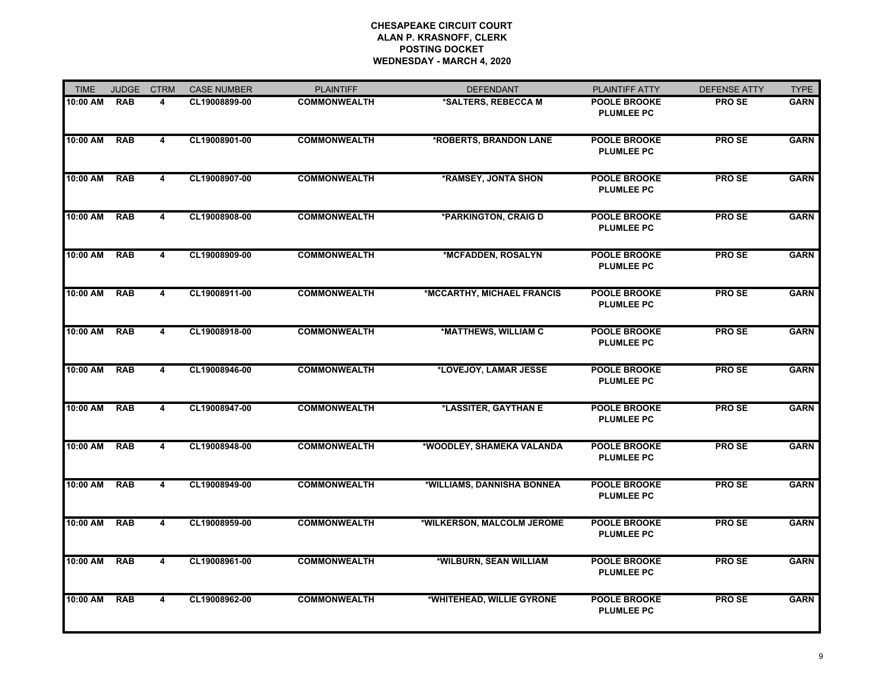| <b>TIME</b> | <b>JUDGE</b> | <b>CTRM</b>             | <b>CASE NUMBER</b> | <b>PLAINTIFF</b>    | <b>DEFENDANT</b>           | PLAINTIFF ATTY                           | <b>DEFENSE ATTY</b> | <b>TYPE</b> |
|-------------|--------------|-------------------------|--------------------|---------------------|----------------------------|------------------------------------------|---------------------|-------------|
| 10:00 AM    | <b>RAB</b>   | 4                       | CL19008899-00      | <b>COMMONWEALTH</b> | *SALTERS, REBECCA M        | <b>POOLE BROOKE</b><br><b>PLUMLEE PC</b> | <b>PROSE</b>        | <b>GARN</b> |
| 10:00 AM    | <b>RAB</b>   | 4                       | CL19008901-00      | <b>COMMONWEALTH</b> | *ROBERTS, BRANDON LANE     | <b>POOLE BROOKE</b><br><b>PLUMLEE PC</b> | <b>PROSE</b>        | <b>GARN</b> |
| 10:00 AM    | <b>RAB</b>   | $\overline{4}$          | CL19008907-00      | <b>COMMONWEALTH</b> | *RAMSEY, JONTA SHON        | <b>POOLE BROOKE</b><br><b>PLUMLEE PC</b> | <b>PROSE</b>        | <b>GARN</b> |
| 10:00 AM    | <b>RAB</b>   | $\overline{4}$          | CL19008908-00      | <b>COMMONWEALTH</b> | *PARKINGTON, CRAIG D       | <b>POOLE BROOKE</b><br><b>PLUMLEE PC</b> | <b>PROSE</b>        | <b>GARN</b> |
| 10:00 AM    | <b>RAB</b>   | 4                       | CL19008909-00      | <b>COMMONWEALTH</b> | *MCFADDEN, ROSALYN         | <b>POOLE BROOKE</b><br><b>PLUMLEE PC</b> | <b>PROSE</b>        | <b>GARN</b> |
| 10:00 AM    | <b>RAB</b>   | 4                       | CL19008911-00      | <b>COMMONWEALTH</b> | *MCCARTHY, MICHAEL FRANCIS | POOLE BROOKE<br><b>PLUMLEE PC</b>        | <b>PROSE</b>        | <b>GARN</b> |
| 10:00 AM    | <b>RAB</b>   | 4                       | CL19008918-00      | <b>COMMONWEALTH</b> | *MATTHEWS, WILLIAM C       | <b>POOLE BROOKE</b><br><b>PLUMLEE PC</b> | <b>PROSE</b>        | <b>GARN</b> |
| 10:00 AM    | <b>RAB</b>   | 4                       | CL19008946-00      | <b>COMMONWEALTH</b> | *LOVEJOY, LAMAR JESSE      | <b>POOLE BROOKE</b><br><b>PLUMLEE PC</b> | <b>PROSE</b>        | <b>GARN</b> |
| 10:00 AM    | <b>RAB</b>   | 4                       | CL19008947-00      | <b>COMMONWEALTH</b> | *LASSITER, GAYTHAN E       | <b>POOLE BROOKE</b><br><b>PLUMLEE PC</b> | <b>PROSE</b>        | <b>GARN</b> |
| 10:00 AM    | <b>RAB</b>   | $\overline{4}$          | CL19008948-00      | <b>COMMONWEALTH</b> | *WOODLEY, SHAMEKA VALANDA  | <b>POOLE BROOKE</b><br><b>PLUMLEE PC</b> | <b>PROSE</b>        | <b>GARN</b> |
| 10:00 AM    | <b>RAB</b>   | 4                       | CL19008949-00      | <b>COMMONWEALTH</b> | *WILLIAMS, DANNISHA BONNEA | <b>POOLE BROOKE</b><br><b>PLUMLEE PC</b> | <b>PROSE</b>        | <b>GARN</b> |
| 10:00 AM    | <b>RAB</b>   | 4                       | CL19008959-00      | <b>COMMONWEALTH</b> | *WILKERSON, MALCOLM JEROME | <b>POOLE BROOKE</b><br><b>PLUMLEE PC</b> | <b>PROSE</b>        | <b>GARN</b> |
| 10:00 AM    | <b>RAB</b>   | 4                       | CL19008961-00      | <b>COMMONWEALTH</b> | *WILBURN, SEAN WILLIAM     | <b>POOLE BROOKE</b><br><b>PLUMLEE PC</b> | <b>PROSE</b>        | <b>GARN</b> |
| 10:00 AM    | <b>RAB</b>   | $\overline{\mathbf{4}}$ | CL19008962-00      | <b>COMMONWEALTH</b> | *WHITEHEAD, WILLIE GYRONE  | <b>POOLE BROOKE</b><br><b>PLUMLEE PC</b> | <b>PROSE</b>        | <b>GARN</b> |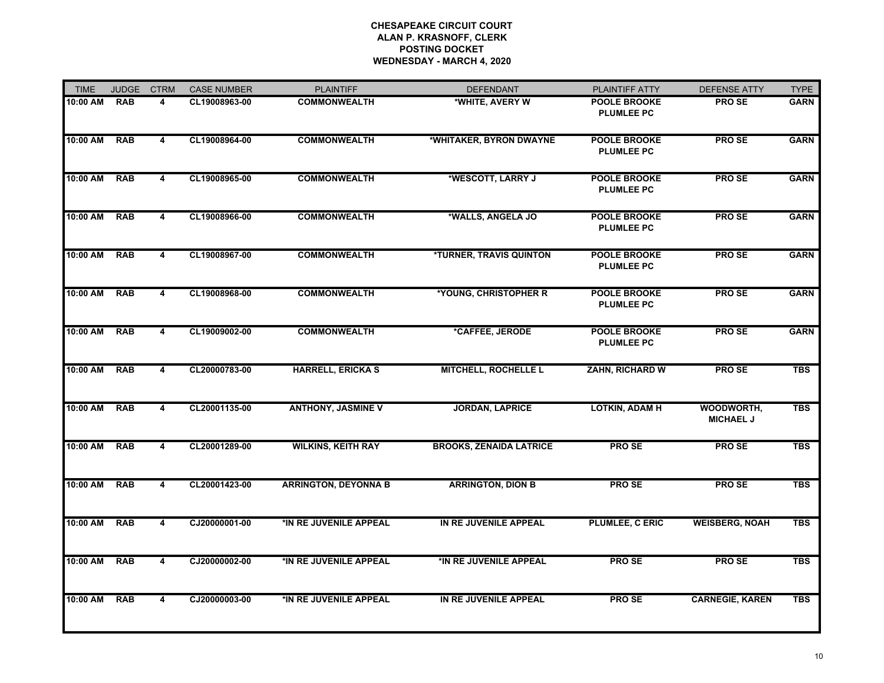| <b>TIME</b> | <b>JUDGE</b> | <b>CTRM</b>             | <b>CASE NUMBER</b> | <b>PLAINTIFF</b>            | <b>DEFENDANT</b>               | PLAINTIFF ATTY                           | <b>DEFENSE ATTY</b>            | <b>TYPE</b> |
|-------------|--------------|-------------------------|--------------------|-----------------------------|--------------------------------|------------------------------------------|--------------------------------|-------------|
| 10:00 AM    | <b>RAB</b>   | 4                       | CL19008963-00      | <b>COMMONWEALTH</b>         | *WHITE, AVERY W                | <b>POOLE BROOKE</b><br><b>PLUMLEE PC</b> | <b>PROSE</b>                   | <b>GARN</b> |
| 10:00 AM    | <b>RAB</b>   | 4                       | CL19008964-00      | <b>COMMONWEALTH</b>         | *WHITAKER, BYRON DWAYNE        | <b>POOLE BROOKE</b><br><b>PLUMLEE PC</b> | <b>PROSE</b>                   | <b>GARN</b> |
| 10:00 AM    | <b>RAB</b>   | $\overline{4}$          | CL19008965-00      | <b>COMMONWEALTH</b>         | *WESCOTT, LARRY J              | <b>POOLE BROOKE</b><br><b>PLUMLEE PC</b> | <b>PROSE</b>                   | <b>GARN</b> |
| 10:00 AM    | <b>RAB</b>   | $\overline{4}$          | CL19008966-00      | <b>COMMONWEALTH</b>         | *WALLS, ANGELA JO              | <b>POOLE BROOKE</b><br><b>PLUMLEE PC</b> | <b>PROSE</b>                   | <b>GARN</b> |
| 10:00 AM    | <b>RAB</b>   | 4                       | CL19008967-00      | <b>COMMONWEALTH</b>         | <b>*TURNER, TRAVIS QUINTON</b> | <b>POOLE BROOKE</b><br><b>PLUMLEE PC</b> | PRO SE                         | <b>GARN</b> |
| 10:00 AM    | <b>RAB</b>   | 4                       | CL19008968-00      | <b>COMMONWEALTH</b>         | *YOUNG, CHRISTOPHER R          | <b>POOLE BROOKE</b><br><b>PLUMLEE PC</b> | <b>PROSE</b>                   | <b>GARN</b> |
| 10:00 AM    | <b>RAB</b>   | $\overline{\mathbf{4}}$ | CL19009002-00      | <b>COMMONWEALTH</b>         | *CAFFEE, JERODE                | <b>POOLE BROOKE</b><br><b>PLUMLEE PC</b> | <b>PROSE</b>                   | <b>GARN</b> |
| 10:00 AM    | <b>RAB</b>   | 4                       | CL20000783-00      | <b>HARRELL, ERICKA S</b>    | <b>MITCHELL, ROCHELLE L</b>    | <b>ZAHN, RICHARD W</b>                   | PRO SE                         | <b>TBS</b>  |
| 10:00 AM    | <b>RAB</b>   | 4                       | CL20001135-00      | <b>ANTHONY, JASMINE V</b>   | <b>JORDAN, LAPRICE</b>         | <b>LOTKIN, ADAM H</b>                    | WOODWORTH,<br><b>MICHAEL J</b> | <b>TBS</b>  |
| 10:00 AM    | <b>RAB</b>   | 4                       | CL20001289-00      | <b>WILKINS, KEITH RAY</b>   | <b>BROOKS, ZENAIDA LATRICE</b> | <b>PROSE</b>                             | <b>PROSE</b>                   | <b>TBS</b>  |
| 10:00 AM    | <b>RAB</b>   | 4                       | CL20001423-00      | <b>ARRINGTON, DEYONNA B</b> | <b>ARRINGTON, DION B</b>       | <b>PROSE</b>                             | <b>PROSE</b>                   | <b>TBS</b>  |
| 10:00 AM    | <b>RAB</b>   | $\overline{4}$          | CJ20000001-00      | *IN RE JUVENILE APPEAL      | IN RE JUVENILE APPEAL          | <b>PLUMLEE, C ERIC</b>                   | <b>WEISBERG, NOAH</b>          | <b>TBS</b>  |
| 10:00 AM    | <b>RAB</b>   | 4                       | CJ20000002-00      | *IN RE JUVENILE APPEAL      | *IN RE JUVENILE APPEAL         | <b>PROSE</b>                             | <b>PROSE</b>                   | <b>TBS</b>  |
| 10:00 AM    | <b>RAB</b>   | 4                       | CJ20000003-00      | *IN RE JUVENILE APPEAL      | IN RE JUVENILE APPEAL          | <b>PROSE</b>                             | <b>CARNEGIE, KAREN</b>         | <b>TBS</b>  |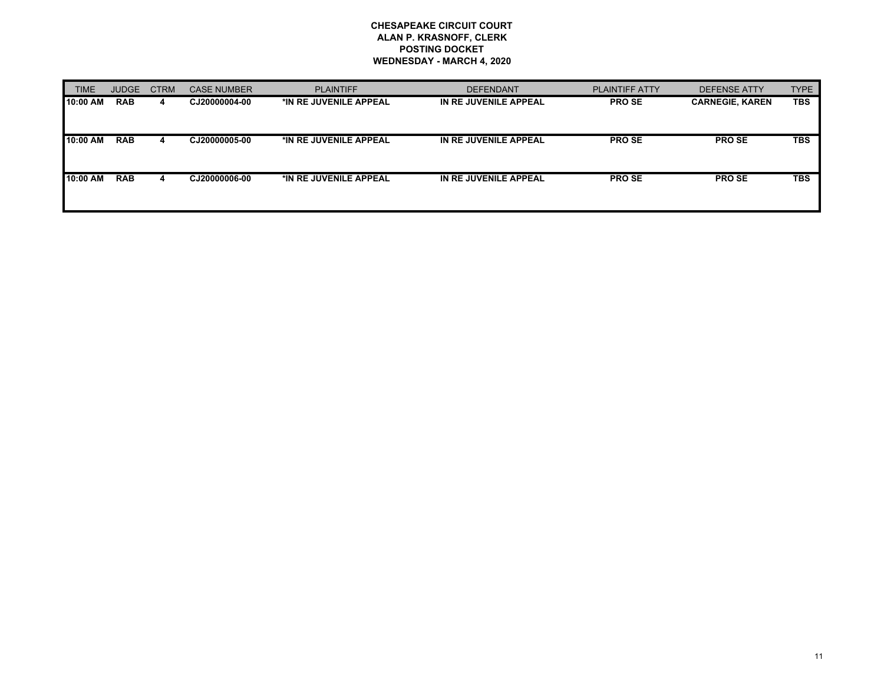| <b>TIME</b> | <b>JUDGE</b> | <b>CTRM</b> | <b>CASE NUMBER</b> | <b>PLAINTIFF</b>       | <b>DEFENDANT</b>      | <b>PLAINTIFF ATTY</b> | DEFENSE ATTY           | <b>TYPE</b> |
|-------------|--------------|-------------|--------------------|------------------------|-----------------------|-----------------------|------------------------|-------------|
| l 10:00 AM  | <b>RAB</b>   | 4           | CJ20000004-00      | *IN RE JUVENILE APPEAL | IN RE JUVENILE APPEAL | <b>PROSE</b>          | <b>CARNEGIE, KAREN</b> | <b>TBS</b>  |
|             |              |             |                    |                        |                       |                       |                        |             |
| 10:00 AM    | <b>RAB</b>   | 4           | CJ20000005-00      | *IN RE JUVENILE APPEAL | IN RE JUVENILE APPEAL | <b>PROSE</b>          | <b>PROSE</b>           | <b>TBS</b>  |
|             |              |             |                    |                        |                       |                       |                        |             |
| 110:00 AM   | <b>RAB</b>   | 4           | CJ20000006-00      | *IN RE JUVENILE APPEAL | IN RE JUVENILE APPEAL | <b>PROSE</b>          | <b>PROSE</b>           | <b>TBS</b>  |
|             |              |             |                    |                        |                       |                       |                        |             |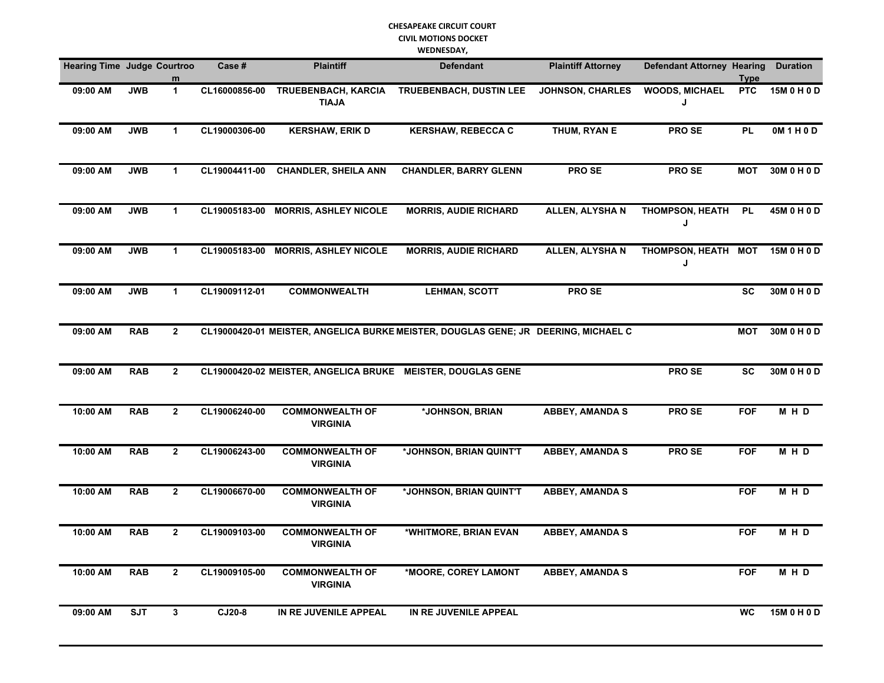#### **CHESAPEAKE CIRCUIT COURT CIVIL MOTIONS DOCKET**

**WEDNESDAY,** 

| <b>Hearing Time Judge Courtroo</b> |            |                | Case #        | <b>Plaintiff</b>                                            | <b>Defendant</b>                                                                   | <b>Plaintiff Attorney</b> | <b>Defendant Attorney Hearing</b> | Type       | <b>Duration</b> |
|------------------------------------|------------|----------------|---------------|-------------------------------------------------------------|------------------------------------------------------------------------------------|---------------------------|-----------------------------------|------------|-----------------|
| 09:00 AM                           | <b>JWB</b> | $\mathbf{1}$   | CL16000856-00 | TRUEBENBACH, KARCIA<br><b>TIAJA</b>                         | <b>TRUEBENBACH, DUSTIN LEE</b>                                                     | <b>JOHNSON, CHARLES</b>   | <b>WOODS, MICHAEL</b><br>J        | <b>PTC</b> | 15M 0 H 0 D     |
| 09:00 AM                           | <b>JWB</b> | $\mathbf{1}$   | CL19000306-00 | <b>KERSHAW, ERIK D</b>                                      | <b>KERSHAW, REBECCA C</b>                                                          | THUM, RYAN E              | PRO SE                            | <b>PL</b>  | OM1H0D          |
| 09:00 AM                           | <b>JWB</b> | $\mathbf{1}$   | CL19004411-00 | <b>CHANDLER, SHEILA ANN</b>                                 | <b>CHANDLER, BARRY GLENN</b>                                                       | PRO SE                    | PRO SE                            | <b>MOT</b> | 30M0H0D         |
| 09:00 AM                           | <b>JWB</b> | $\mathbf{1}$   |               | CL19005183-00 MORRIS, ASHLEY NICOLE                         | <b>MORRIS, AUDIE RICHARD</b>                                                       | ALLEN, ALYSHA N           | <b>THOMPSON, HEATH</b><br>J       | <b>PL</b>  | 45M 0 H 0 D     |
| 09:00 AM                           | <b>JWB</b> | $\mathbf{1}$   | CL19005183-00 | <b>MORRIS, ASHLEY NICOLE</b>                                | <b>MORRIS, AUDIE RICHARD</b>                                                       | <b>ALLEN, ALYSHAN</b>     | THOMPSON, HEATH MOT<br>J          |            | 15M 0 H 0 D     |
| 09:00 AM                           | <b>JWB</b> | $\mathbf{1}$   | CL19009112-01 | <b>COMMONWEALTH</b>                                         | <b>LEHMAN, SCOTT</b>                                                               | <b>PROSE</b>              |                                   | <b>SC</b>  | 30M 0 H 0 D     |
| 09:00 AM                           | <b>RAB</b> | $\mathbf{2}$   |               |                                                             | CL19000420-01 MEISTER, ANGELICA BURKE MEISTER, DOUGLAS GENE; JR DEERING, MICHAEL C |                           |                                   | <b>MOT</b> | 30M 0 H 0 D     |
| 09:00 AM                           | <b>RAB</b> | $\overline{2}$ |               | CL19000420-02 MEISTER, ANGELICA BRUKE MEISTER, DOUGLAS GENE |                                                                                    |                           | <b>PROSE</b>                      | <b>SC</b>  | 30M 0 H 0 D     |
| 10:00 AM                           | <b>RAB</b> | $\overline{2}$ | CL19006240-00 | <b>COMMONWEALTH OF</b><br><b>VIRGINIA</b>                   | *JOHNSON, BRIAN                                                                    | <b>ABBEY, AMANDA S</b>    | PRO SE                            | <b>FOF</b> | MHD             |
| 10:00 AM                           | <b>RAB</b> | $\overline{2}$ | CL19006243-00 | <b>COMMONWEALTH OF</b><br><b>VIRGINIA</b>                   | *JOHNSON, BRIAN QUINT'T                                                            | <b>ABBEY, AMANDA S</b>    | <b>PROSE</b>                      | <b>FOF</b> | M H D           |
| 10:00 AM                           | <b>RAB</b> | $\mathbf{2}$   | CL19006670-00 | <b>COMMONWEALTH OF</b><br><b>VIRGINIA</b>                   | *JOHNSON, BRIAN QUINT'T                                                            | <b>ABBEY, AMANDA S</b>    |                                   | <b>FOF</b> | M H D           |
| 10:00 AM                           | <b>RAB</b> | $\mathbf{2}$   | CL19009103-00 | <b>COMMONWEALTH OF</b><br><b>VIRGINIA</b>                   | *WHITMORE, BRIAN EVAN                                                              | <b>ABBEY, AMANDA S</b>    |                                   | <b>FOF</b> | M H D           |
| 10:00 AM                           | <b>RAB</b> | $\overline{2}$ | CL19009105-00 | <b>COMMONWEALTH OF</b><br><b>VIRGINIA</b>                   | *MOORE, COREY LAMONT                                                               | <b>ABBEY, AMANDA S</b>    |                                   | <b>FOF</b> | MHD             |
| 09:00 AM                           | <b>SJT</b> | $\mathbf{3}$   | CJ20-8        | IN RE JUVENILE APPEAL                                       | IN RE JUVENILE APPEAL                                                              |                           |                                   | <b>WC</b>  | 15M 0 H 0 D     |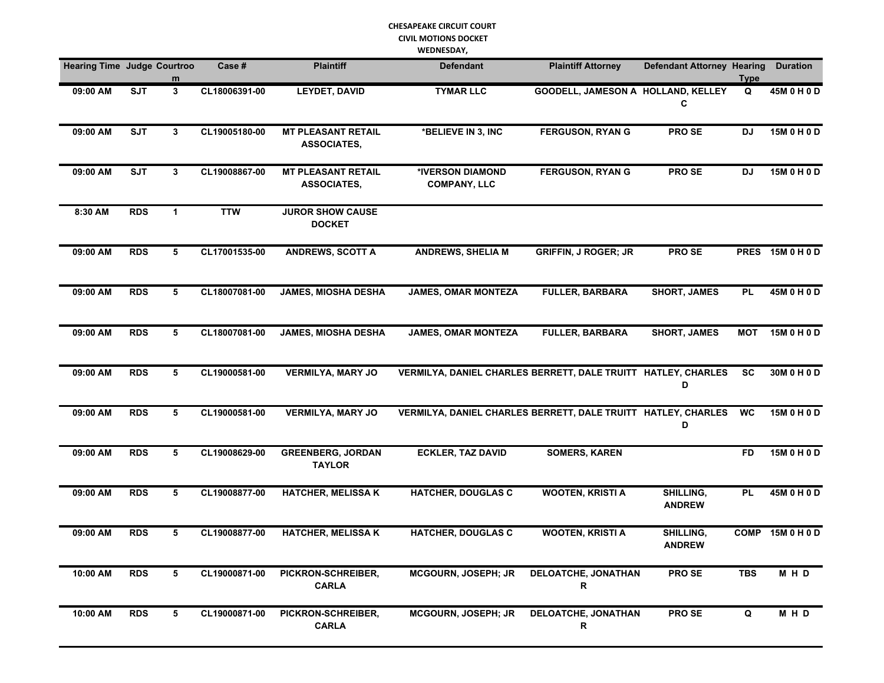#### **CHESAPEAKE CIRCUIT COURT CIVIL MOTIONS DOCKET WEDNESDAY,**

| <b>Hearing Time Judge Courtroo</b> |            | m            | Case#         | <b>Plaintiff</b>                                | <b>Defendant</b>                                              | <b>Plaintiff Attorney</b>          | <b>Defendant Attorney Hearing</b> | <b>Type</b> | <b>Duration</b>  |
|------------------------------------|------------|--------------|---------------|-------------------------------------------------|---------------------------------------------------------------|------------------------------------|-----------------------------------|-------------|------------------|
| 09:00 AM                           | <b>SJT</b> | $\mathbf{3}$ | CL18006391-00 | <b>LEYDET, DAVID</b>                            | <b>TYMAR LLC</b>                                              | GOODELL, JAMESON A HOLLAND, KELLEY | С                                 | Q           | 45M 0 H 0 D      |
| 09:00 AM                           | <b>SJT</b> | 3            | CL19005180-00 | <b>MT PLEASANT RETAIL</b><br><b>ASSOCIATES,</b> | *BELIEVE IN 3, INC                                            | <b>FERGUSON, RYAN G</b>            | PRO SE                            | <b>DJ</b>   | 15M 0 H 0 D      |
| 09:00 AM                           | <b>SJT</b> | 3            | CL19008867-00 | <b>MT PLEASANT RETAIL</b><br><b>ASSOCIATES,</b> | *IVERSON DIAMOND<br><b>COMPANY, LLC</b>                       | <b>FERGUSON, RYAN G</b>            | PRO SE                            | DJ          | 15M 0 H 0 D      |
| 8:30 AM                            | <b>RDS</b> | $\mathbf{1}$ | <b>TTW</b>    | <b>JUROR SHOW CAUSE</b><br><b>DOCKET</b>        |                                                               |                                    |                                   |             |                  |
| 09:00 AM                           | <b>RDS</b> | 5            | CL17001535-00 | <b>ANDREWS, SCOTT A</b>                         | <b>ANDREWS, SHELIA M</b>                                      | <b>GRIFFIN, J ROGER; JR</b>        | PRO SE                            |             | PRES 15M 0 H 0 D |
| 09:00 AM                           | <b>RDS</b> | 5            | CL18007081-00 | <b>JAMES, MIOSHA DESHA</b>                      | <b>JAMES, OMAR MONTEZA</b>                                    | <b>FULLER, BARBARA</b>             | <b>SHORT, JAMES</b>               | <b>PL</b>   | 45M 0 H 0 D      |
| 09:00 AM                           | <b>RDS</b> | 5            | CL18007081-00 | <b>JAMES, MIOSHA DESHA</b>                      | <b>JAMES, OMAR MONTEZA</b>                                    | <b>FULLER, BARBARA</b>             | <b>SHORT, JAMES</b>               | <b>MOT</b>  | 15M 0 H 0 D      |
| 09:00 AM                           | <b>RDS</b> | 5            | CL19000581-00 | <b>VERMILYA, MARY JO</b>                        | VERMILYA, DANIEL CHARLES BERRETT, DALE TRUITT HATLEY, CHARLES |                                    | D                                 | <b>SC</b>   | 30M 0 H 0 D      |
| 09:00 AM                           | <b>RDS</b> | 5            | CL19000581-00 | <b>VERMILYA, MARY JO</b>                        | VERMILYA, DANIEL CHARLES BERRETT, DALE TRUITT HATLEY, CHARLES |                                    | D                                 | <b>WC</b>   | 15M 0 H 0 D      |
| 09:00 AM                           | <b>RDS</b> | 5            | CL19008629-00 | <b>GREENBERG, JORDAN</b><br><b>TAYLOR</b>       | <b>ECKLER, TAZ DAVID</b>                                      | <b>SOMERS, KAREN</b>               |                                   | <b>FD</b>   | 15M 0 H 0 D      |
| 09:00 AM                           | <b>RDS</b> | 5            | CL19008877-00 | <b>HATCHER, MELISSA K</b>                       | <b>HATCHER, DOUGLAS C</b>                                     | <b>WOOTEN, KRISTI A</b>            | SHILLING,<br><b>ANDREW</b>        | <b>PL</b>   | 45M 0 H 0 D      |
| 09:00 AM                           | <b>RDS</b> | 5            | CL19008877-00 | <b>HATCHER, MELISSA K</b>                       | <b>HATCHER, DOUGLAS C</b>                                     | <b>WOOTEN, KRISTI A</b>            | SHILLING,<br><b>ANDREW</b>        | <b>COMP</b> | 15M 0 H 0 D      |
| 10:00 AM                           | <b>RDS</b> | 5            | CL19000871-00 | PICKRON-SCHREIBER,<br><b>CARLA</b>              | MCGOURN, JOSEPH; JR                                           | <b>DELOATCHE, JONATHAN</b><br>R    | PRO SE                            | <b>TBS</b>  | MHD              |
| 10:00 AM                           | <b>RDS</b> | 5            | CL19000871-00 | PICKRON-SCHREIBER,<br><b>CARLA</b>              | MCGOURN, JOSEPH; JR                                           | <b>DELOATCHE, JONATHAN</b><br>R    | PRO SE                            | $\mathbf Q$ | MHD              |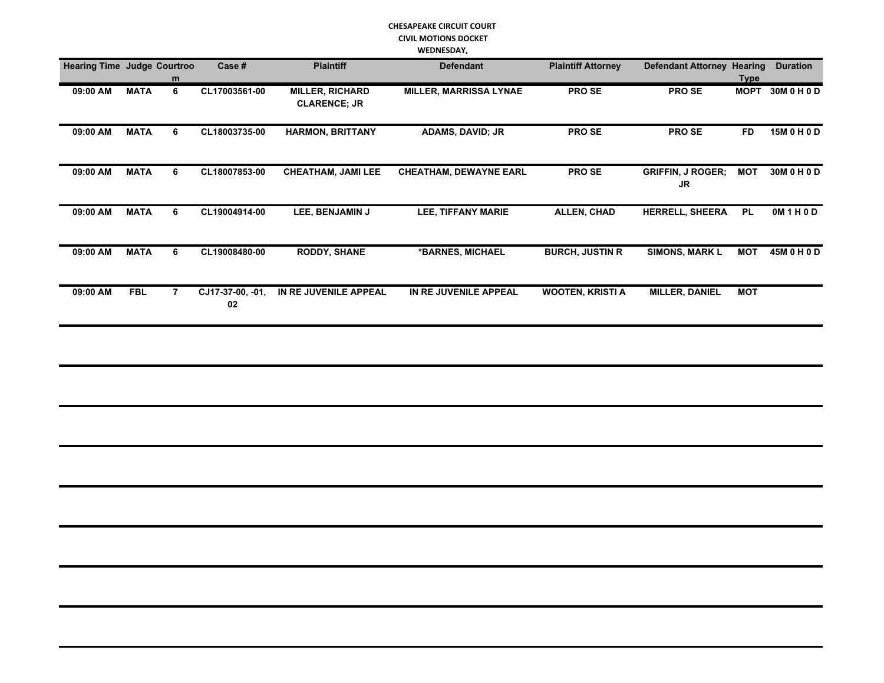#### **CHESAPEAKE CIRCUIT COURT CIVIL MOTIONS DOCKET WEDNESDAY,**

|                                    |             |                |                        |                                               | <b>WEDNESDAY,</b>             |                           |                                       |             |                  |
|------------------------------------|-------------|----------------|------------------------|-----------------------------------------------|-------------------------------|---------------------------|---------------------------------------|-------------|------------------|
| <b>Hearing Time Judge Courtroo</b> |             | m              | Case #                 | <b>Plaintiff</b>                              | <b>Defendant</b>              | <b>Plaintiff Attorney</b> | <b>Defendant Attorney Hearing</b>     | <b>Type</b> | <b>Duration</b>  |
| 09:00 AM                           | <b>MATA</b> | 6              | CL17003561-00          | <b>MILLER, RICHARD</b><br><b>CLARENCE; JR</b> | <b>MILLER, MARRISSA LYNAE</b> | <b>PROSE</b>              | PRO SE                                |             | MOPT 30M 0 H 0 D |
| 09:00 AM                           | <b>MATA</b> | 6              | CL18003735-00          | <b>HARMON, BRITTANY</b>                       | <b>ADAMS, DAVID; JR</b>       | <b>PROSE</b>              | PRO SE                                | <b>FD</b>   | 15M 0 H 0 D      |
| 09:00 AM                           | <b>MATA</b> | 6              | CL18007853-00          | <b>CHEATHAM, JAMI LEE</b>                     | <b>CHEATHAM, DEWAYNE EARL</b> | PRO SE                    | <b>GRIFFIN, J ROGER;</b><br><b>JR</b> | <b>MOT</b>  | 30M 0 H 0 D      |
| 09:00 AM                           | <b>MATA</b> | 6              | CL19004914-00          | LEE, BENJAMIN J                               | <b>LEE, TIFFANY MARIE</b>     | <b>ALLEN, CHAD</b>        | <b>HERRELL, SHEERA</b>                | PL          | OM1H0D           |
| 09:00 AM                           | <b>MATA</b> | 6              | CL19008480-00          | <b>RODDY, SHANE</b>                           | *BARNES, MICHAEL              | <b>BURCH, JUSTIN R</b>    | <b>SIMONS, MARK L</b>                 | <b>MOT</b>  | 45M 0 H 0 D      |
| 09:00 AM                           | <b>FBL</b>  | $\overline{7}$ | CJ17-37-00, -01,<br>02 | IN RE JUVENILE APPEAL                         | IN RE JUVENILE APPEAL         | <b>WOOTEN, KRISTI A</b>   | <b>MILLER, DANIEL</b>                 | <b>MOT</b>  |                  |
|                                    |             |                |                        |                                               |                               |                           |                                       |             |                  |
|                                    |             |                |                        |                                               |                               |                           |                                       |             |                  |
|                                    |             |                |                        |                                               |                               |                           |                                       |             |                  |
|                                    |             |                |                        |                                               |                               |                           |                                       |             |                  |
|                                    |             |                |                        |                                               |                               |                           |                                       |             |                  |
|                                    |             |                |                        |                                               |                               |                           |                                       |             |                  |